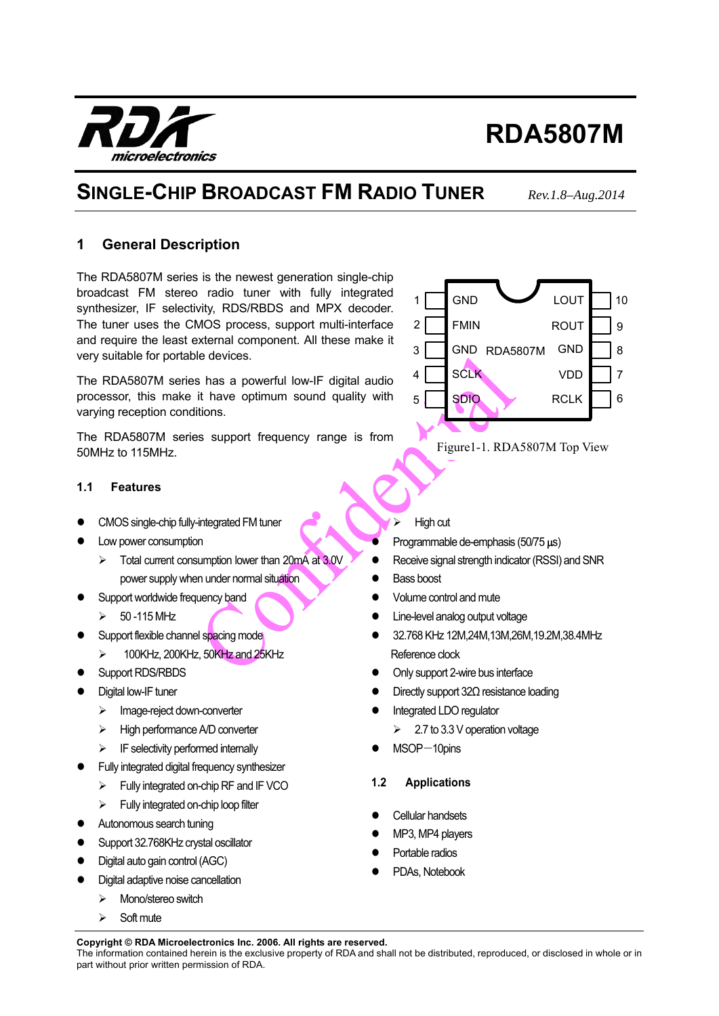The information contained herein is the exclusive property of RDA and shall not be distributed, reproduced, or disclosed in whole or in part without prior written permission of RDA.

# **RDA5807M**

# **SINGLE-CHIP BROADCAST FM RADIO TUNER** *Rev.1.8–Aug.2014*

## **1 General Description**

The RDA5807M series is the newest generation single-chip broadcast FM stereo radio tuner with fully integrated synthesizer, IF selectivity, RDS/RBDS and MPX decoder. The tuner uses the CMOS process, support multi-interface and require the least external component. All these make it very suitable for portable devices.

The RDA5807M series has a powerful low-IF digital audio processor, this make it have optimum sound quality with varying reception conditions.

The RDA5807M series support frequency range is from 50MHz to 115MHz.

## **1.1 Features**

- CMOS single-chip fully-integrated FM tuner
- Low power consumption
	- $\triangleright$  Total current consumption lower than 20mA at 3.0V power supply when under normal situation
- Support worldwide frequency band
	- $\geqslant 50 115$  MHz
- Support flexible channel spacing mode
- $\geq$  100KHz, 200KHz, 50KHz and 25KHz
- Support RDS/RBDS
- Digital low-IF tuner
	- > Image-reject down-converter
	- > High performance A/D converter
	- IF selectivity performed internally
- Fully integrated digital frequency synthesizer
	- Fully integrated on-chip RF and IF VCO
	- $\triangleright$  Fully integrated on-chip loop filter
- Autonomous search tuning
- Support 32.768KHz crystal oscillator
- Digital auto gain control (AGC)
- Digital adaptive noise cancellation
	- > Mono/stereo switch
	- $\triangleright$  Soft mute

#### High cut

- Programmable de-emphasis (50/75 us)
- Receive signal strength indicator (RSSI) and SNR
- Bass boost
- Volume control and mute
- Line-level analog output voltage
- 32.768 KHz 12M,24M,13M,26M,19.2M,38.4MHz Reference clock
- Only support 2-wire bus interface
- Directly support 32Ω resistance loading
- Integrated LDO regulator
	- 2.7 to 3.3 V operation voltage
- $MSOP-10$ pins
- **1.2 Applications**
- Cellular handsets
- MP3, MP4 players
- Portable radios
- PDAs, Notebook





Figure1-1. RDA5807M Top View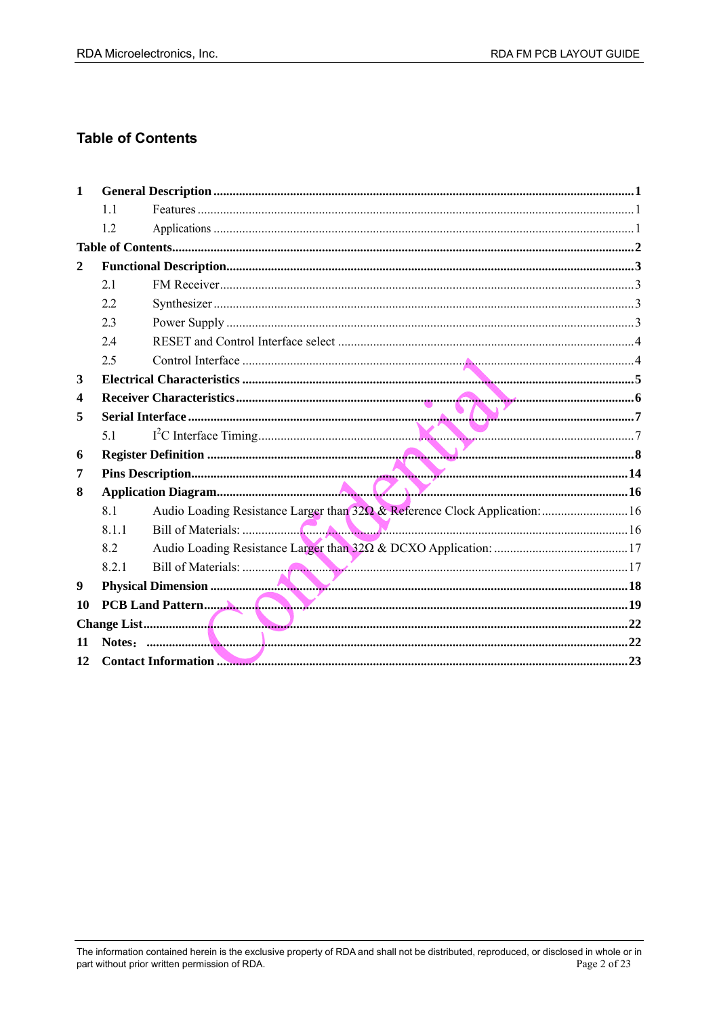## **Table of Contents**

| $\mathbf 1$  |       |                                                                             |  |
|--------------|-------|-----------------------------------------------------------------------------|--|
|              | 11    |                                                                             |  |
|              | 1.2   |                                                                             |  |
|              |       |                                                                             |  |
| $\mathbf{2}$ |       |                                                                             |  |
|              | 2.1   |                                                                             |  |
|              | 2.2   |                                                                             |  |
|              | 2.3   |                                                                             |  |
|              | 2.4   |                                                                             |  |
|              | 2.5   |                                                                             |  |
| 3            |       |                                                                             |  |
| 4            |       |                                                                             |  |
| 5            |       |                                                                             |  |
|              | 51    |                                                                             |  |
| 6            |       |                                                                             |  |
| 7            |       |                                                                             |  |
| 8            |       |                                                                             |  |
|              | 8.1   | Audio Loading Resistance Larger than 320 & Reference Clock Application:  16 |  |
|              | 811   |                                                                             |  |
|              | 8.2   |                                                                             |  |
|              | 8.2.1 |                                                                             |  |
| 9            |       |                                                                             |  |
| 10           |       |                                                                             |  |
|              |       |                                                                             |  |
| 11           |       |                                                                             |  |
| 12           |       |                                                                             |  |
|              |       |                                                                             |  |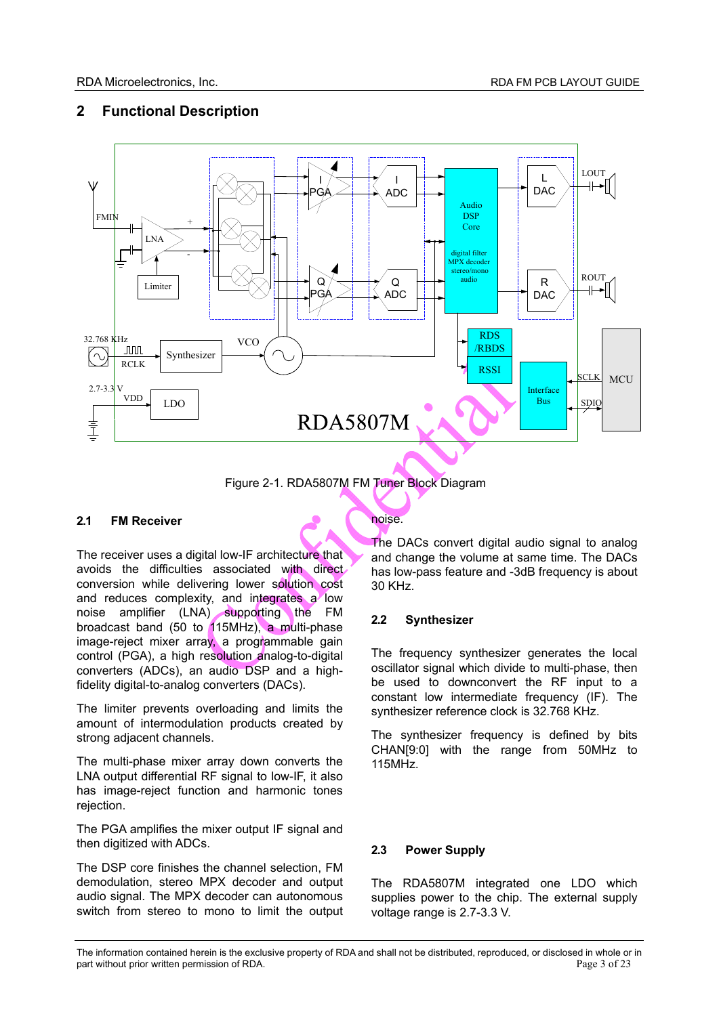## **2 Functional Description**



Figure 2-1. RDA5807M FM Tuner Block Diagram

#### **2.1 FM Receiver**

The receiver uses a digital low-IF architecture that avoids the difficulties associated with direct conversion while delivering lower solution cost and reduces complexity, and integrates a low noise amplifier (LNA) supporting the FM broadcast band (50 to 115MHz), a multi-phase image-reject mixer array, a programmable gain control (PGA), a high resolution analog-to-digital converters (ADCs), an audio DSP and a highfidelity digital-to-analog converters (DACs).

The limiter prevents overloading and limits the amount of intermodulation products created by strong adjacent channels.

The multi-phase mixer array down converts the LNA output differential RF signal to low-IF, it also has image-reject function and harmonic tones rejection.

The PGA amplifies the mixer output IF signal and then digitized with ADCs.

The DSP core finishes the channel selection, FM demodulation, stereo MPX decoder and output audio signal. The MPX decoder can autonomous switch from stereo to mono to limit the output

noise.

The DACs convert digital audio signal to analog and change the volume at same time. The DACs has low-pass feature and -3dB frequency is about 30 KHz.

## **2.2 Synthesizer**

The frequency synthesizer generates the local oscillator signal which divide to multi-phase, then be used to downconvert the RF input to a constant low intermediate frequency (IF). The synthesizer reference clock is 32.768 KHz.

The synthesizer frequency is defined by bits CHAN[9:0] with the range from 50MHz to 115MHz.

#### **2.3 Power Supply**

The RDA5807M integrated one LDO which supplies power to the chip. The external supply voltage range is 2.7-3.3 V.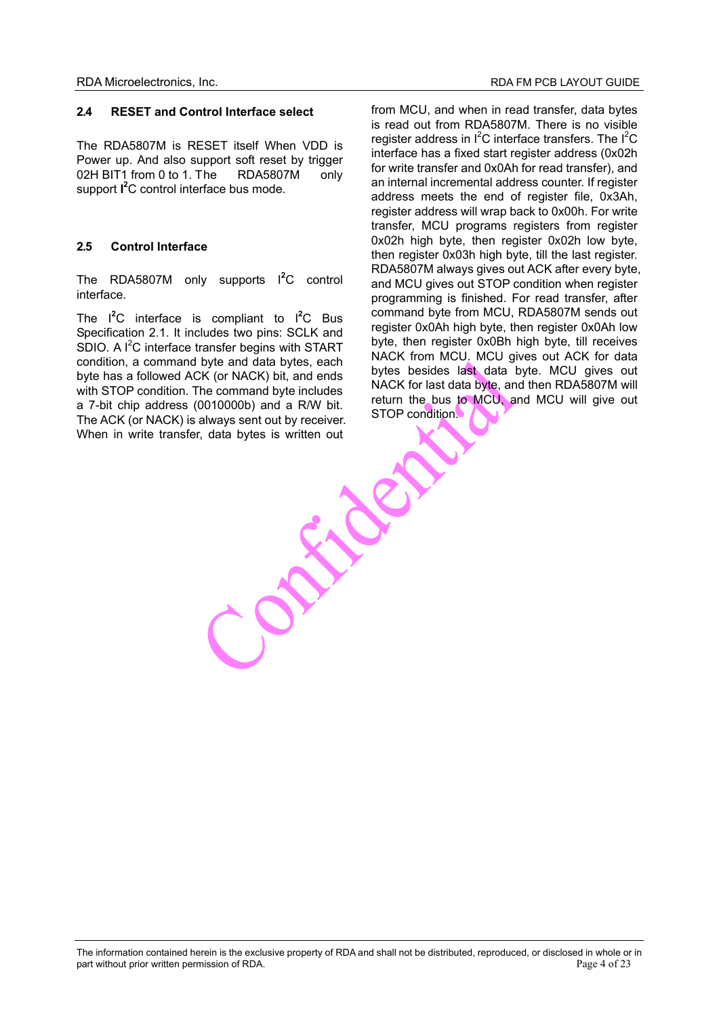#### **2.4 RESET and Control Interface select**

The RDA5807M is RESET itself When VDD is Power up. And also support soft reset by trigger 02H BIT1 from 0 to 1. The RDA5807M only support **I 2** C control interface bus mode.

#### **2.5 Control Interface**

The RDA5807M only supports <sup>1</sup><sup>2</sup>C control interface.

The I**<sup>2</sup>** C interface is compliant to I**<sup>2</sup>** C Bus Specification 2.1. It includes two pins: SCLK and SDIO. A  $I^2C$  interface transfer begins with START condition, a command byte and data bytes, each byte has a followed ACK (or NACK) bit, and ends with STOP condition. The command byte includes a 7-bit chip address (0010000b) and a R/W bit. The ACK (or NACK) is always sent out by receiver. When in write transfer, data bytes is written out

from MCU, and when in read transfer, data bytes is read out from RDA5807M. There is no visible register address in  $I^2C$  interface transfers. The  $I^2C$ interface has a fixed start register address (0x02h for write transfer and 0x0Ah for read transfer), and an internal incremental address counter. If register address meets the end of register file, 0x3Ah, register address will wrap back to 0x00h. For write transfer, MCU programs registers from register 0x02h high byte, then register 0x02h low byte, then register 0x03h high byte, till the last register. RDA5807M always gives out ACK after every byte, and MCU gives out STOP condition when register programming is finished. For read transfer, after command byte from MCU, RDA5807M sends out register 0x0Ah high byte, then register 0x0Ah low byte, then register 0x0Bh high byte, till receives NACK from MCU. MCU gives out ACK for data bytes besides last data byte. MCU gives out NACK for last data byte, and then RDA5807M will return the bus to MCU, and MCU will give out STOP condition.

Elen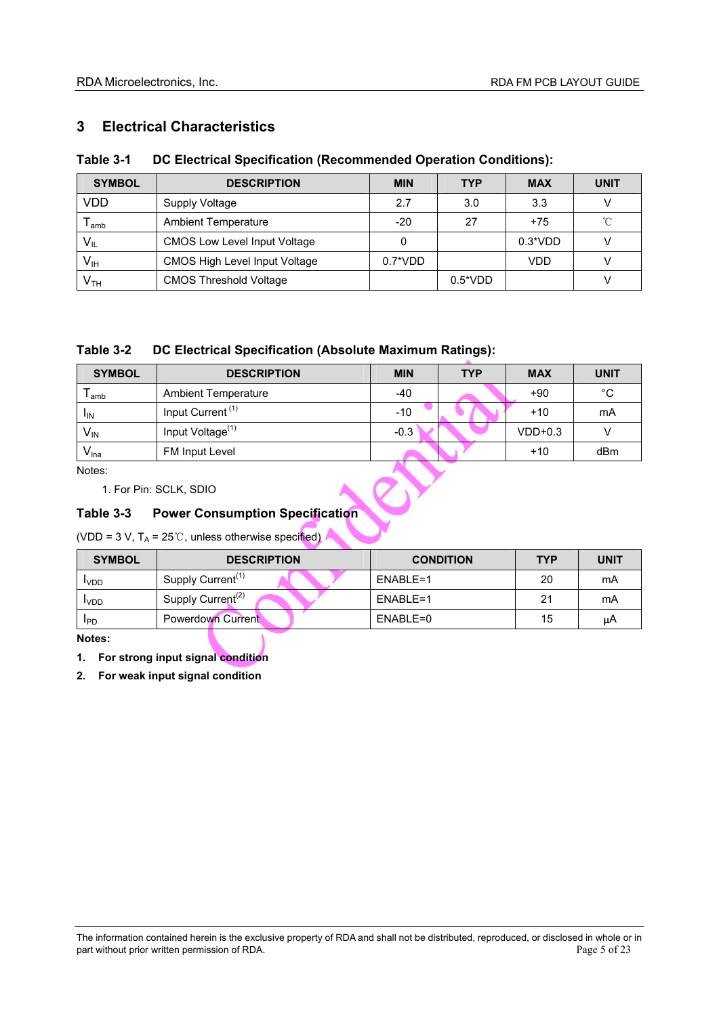## **3 Electrical Characteristics**

## **Table 3-1 DC Electrical Specification (Recommended Operation Conditions):**

| <b>SYMBOL</b>               | <b>DESCRIPTION</b>                   | <b>MIN</b> | <b>TYP</b>       | <b>MAX</b> | <b>UNIT</b> |
|-----------------------------|--------------------------------------|------------|------------------|------------|-------------|
| VDD                         | Supply Voltage                       | 2.7        | 3.0              | 3.3        |             |
| $\mathsf{T}_{\mathsf{amb}}$ | <b>Ambient Temperature</b>           | $-20$      | 27               | $+75$      | °C          |
| $V_{IL}$                    | <b>CMOS Low Level Input Voltage</b>  |            |                  | $0.3*VDD$  |             |
| $V_{IH}$                    | <b>CMOS High Level Input Voltage</b> | $0.7^*VDD$ |                  | VDD        |             |
| V <sub>TH</sub>             | <b>CMOS Threshold Voltage</b>        |            | $0.5^{\ast}$ VDD |            |             |

## **Table 3-2 DC Electrical Specification (Absolute Maximum Ratings):**

| <b>SYMBOL</b>               | <b>DESCRIPTION</b>                     | <b>MIN</b> | <b>TYP</b> | <b>MAX</b> | <b>UNIT</b> |  |
|-----------------------------|----------------------------------------|------------|------------|------------|-------------|--|
| $\mathsf{T}_{\mathsf{amb}}$ | <b>Ambient Temperature</b>             | $-40$      |            | $+90$      | $^{\circ}C$ |  |
| $I_{IN}$                    | Input Current <sup>(1)</sup>           | $-10$      |            | $+10$      | mA          |  |
| $V_{IN}$                    | Input Voltage <sup>(1)</sup>           | $-0.3$     |            | $VDD+0.3$  | ٧           |  |
| V <sub>lna</sub>            | FM Input Level                         |            |            | $+10$      | dBm         |  |
| Notes:                      |                                        |            |            |            |             |  |
|                             | 1. For Pin: SCLK, SDIO                 |            |            |            |             |  |
| Table 3-3                   | <b>Power Consumption Specification</b> |            |            |            |             |  |

## **Table 3-3 Power Consumption Specification**

(VDD = 3 V,  $T_A$  = 25°C, unless otherwise specified)

| <b>SYMBOL</b> | <b>DESCRIPTION</b>            | <b>CONDITION</b> | <b>TYP</b> | <b>UNIT</b> |
|---------------|-------------------------------|------------------|------------|-------------|
| <b>IVDD</b>   | Supply Current <sup>(1)</sup> | ENABLE=1         | 20         | mA          |
| <b>IVDD</b>   | Supply Current <sup>(2)</sup> | ENABLE=1         | 21         | mA          |
| <b>IPD</b>    | Powerdown Current             | ENABLE=0         | 15         | μA          |

**Notes:** 

**1. For strong input signal condition** 

**2. For weak input signal condition**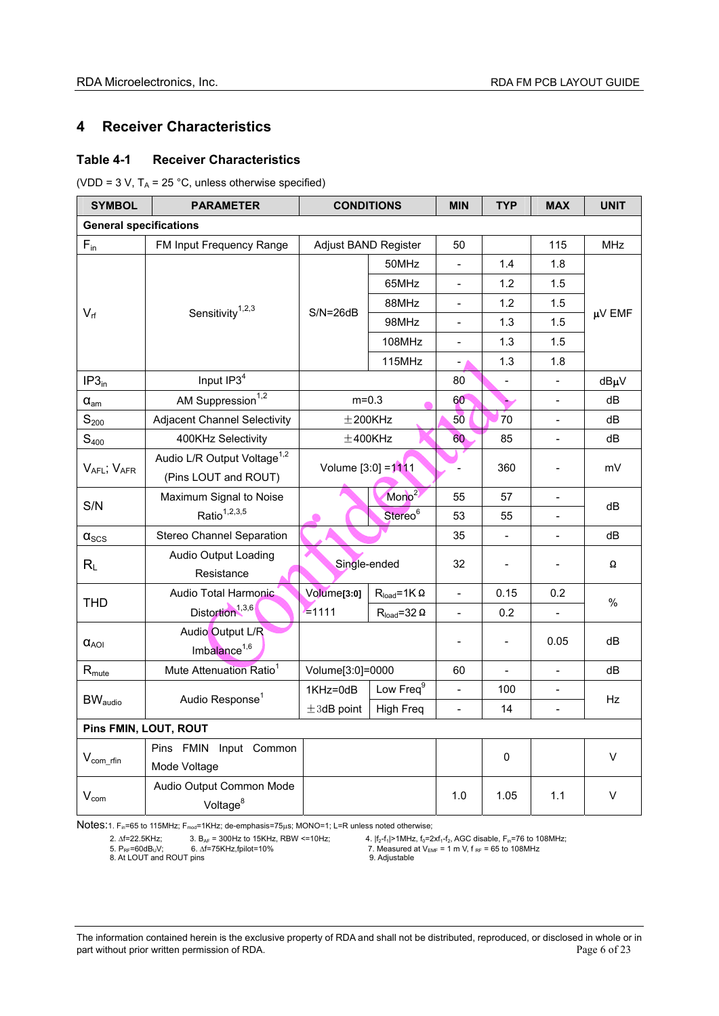## **4 Receiver Characteristics**

#### **Table 4-1 Receiver Characteristics**

(VDD = 3 V,  $T_A$  = 25 °C, unless otherwise specified)

| <b>SYMBOL</b>                     | <b>PARAMETER</b>                        | <b>CONDITIONS</b>    |                        | <b>MIN</b>               | <b>TYP</b>               | <b>MAX</b>                   | <b>UNIT</b> |
|-----------------------------------|-----------------------------------------|----------------------|------------------------|--------------------------|--------------------------|------------------------------|-------------|
| <b>General specifications</b>     |                                         |                      |                        |                          |                          |                              |             |
| $F_{in}$                          | FM Input Frequency Range                | Adjust BAND Register |                        | 50                       |                          | 115                          | <b>MHz</b>  |
|                                   |                                         |                      | 50MHz                  | $\blacksquare$           | 1.4                      | 1.8                          |             |
|                                   |                                         |                      | 65MHz                  | $\blacksquare$           | 1.2                      | 1.5                          |             |
|                                   |                                         |                      | 88MHz                  | $\overline{\phantom{a}}$ | 1.2                      | 1.5                          |             |
| $V_{rf}$                          | Sensitivity $1,2,3$                     | $S/N = 26dB$         | 98MHz                  | $\overline{\phantom{a}}$ | 1.3                      | 1.5                          | µV EMF      |
|                                   |                                         |                      | 108MHz                 | $\overline{\phantom{a}}$ | 1.3                      | 1.5                          |             |
|                                   |                                         |                      | 115MHz                 | $\overline{a}$           | 1.3                      | 1.8                          |             |
| IP3 <sub>in</sub>                 | Input IP3 <sup>4</sup>                  |                      |                        | 80                       | $\blacksquare$           | $\blacksquare$               | dBµV        |
| $\alpha_{\text{am}}$              | AM Suppression <sup>1,2</sup>           | $m = 0.3$            |                        | 60                       | ⊾                        |                              | dB          |
| $\mathbb{S}_{200}$                | <b>Adjacent Channel Selectivity</b>     |                      | $±200$ KHz             | 50                       | 70                       | $\qquad \qquad \blacksquare$ | dB          |
| $S_{400}$                         | 400KHz Selectivity                      |                      | $\pm$ 400KHz           | 60                       | 85                       | $\blacksquare$               | dB          |
|                                   | Audio L/R Output Voltage <sup>1,2</sup> | Volume [3:0] = 1111  |                        |                          | 360                      |                              | mV          |
| $V_{AFL}$ ; $V_{AFR}$             | (Pins LOUT and ROUT)                    |                      |                        |                          |                          |                              |             |
| S/N                               | Maximum Signal to Noise                 |                      | Mono <sup>2</sup>      | 55                       | 57                       |                              | dB          |
|                                   | Ratio <sup>1,2,3,5</sup>                |                      | Stereo <sup>6</sup>    | 53                       | 55                       |                              |             |
| $\alpha_{\scriptscriptstyle SCS}$ | <b>Stereo Channel Separation</b>        |                      |                        | 35                       | $\overline{\phantom{a}}$ | $\qquad \qquad \blacksquare$ | dB          |
|                                   | Audio Output Loading                    | Single-ended         |                        | 32                       |                          |                              | Ω           |
| $R_{L}$                           | Resistance                              |                      |                        |                          |                          |                              |             |
| <b>THD</b>                        | Audio Total Harmonic                    | Volume[3:0]          | $R_{load} = 1K\Omega$  | $\overline{\phantom{a}}$ | 0.15                     | 0.2                          | $\%$        |
|                                   | Distortion <sup>1,3,6</sup>             | $= 1111$             | $R_{load} = 32 \Omega$ | $\frac{1}{2}$            | 0.2                      |                              |             |
|                                   | Audio Output L/R                        |                      |                        |                          |                          |                              |             |
| $\alpha_{AOI}$                    | Imbalance <sup>1,6</sup>                |                      |                        | $\overline{a}$           | $\blacksquare$           | 0.05                         | dB          |
| $R_{\text{mute}}$                 | Mute Attenuation Ratio <sup>1</sup>     | Volume[3:0]=0000     |                        | 60                       | $\overline{a}$           | $\blacksquare$               | dB          |
|                                   | Audio Response <sup>1</sup>             | 1KHz=0dB             | Low Freq <sup>9</sup>  | $\overline{\phantom{a}}$ | 100                      |                              | Hz          |
| <b>BW</b> <sub>audio</sub>        |                                         | $\pm 3$ dB point     | <b>High Freq</b>       | $\overline{\phantom{a}}$ | 14                       | $\qquad \qquad \blacksquare$ |             |
|                                   | Pins FMIN, LOUT, ROUT                   |                      |                        |                          |                          |                              |             |
|                                   | Pins FMIN Input Common                  |                      |                        |                          |                          |                              | V           |
| $V_{\text{com\_rfin}}$            | Mode Voltage                            |                      |                        |                          | 0                        |                              |             |
|                                   | Audio Output Common Mode                |                      |                        |                          |                          |                              | V           |
| $V_{com}$                         | Voltage <sup>8</sup>                    |                      |                        | 1.0                      | 1.05                     | 1.1                          |             |

Notes:1. F<sub>in</sub>=65 to 115MHz; F<sub>mod</sub>=1KHz; de-emphasis=75µs; MONO=1; L=R unless noted otherwise;<br>
2.  $\Delta f$ =22.5KHz; 3. B<sub>AF</sub> = 300Hz to 15KHz, RBW <=10Hz; 4.  $|f_2-f_1|$ >1MHz,  $f_0$ =2<br>
5. P<sub>RF</sub>=60dB<sub>U</sub>V; 6. 0. 0. 0. 0. 0. 0

2.  $\Delta f=22.5\text{K}$ Hz; 3. B<sub>AF</sub> = 300Hz to 15KHz, RBW <=10Hz; 4.  $|f_2-f_1|$ >1MHz,  $f_0=2xf_1-f_2$ , AGC disable, F<sub>in</sub>=76 to 108MHz;

8.  $\Delta t$  = 22. State in the set of the S. At LOUT and ROUT pins

<sup>7.</sup> Measured at  $V_{EMF} = 1$  m V,  $f_{RF} = 65$  to 108MHz<br>9. Adjustable

The information contained herein is the exclusive property of RDA and shall not be distributed, reproduced, or disclosed in whole or in part without prior written permission of RDA. **Page 6 of 23** Page 6 of 23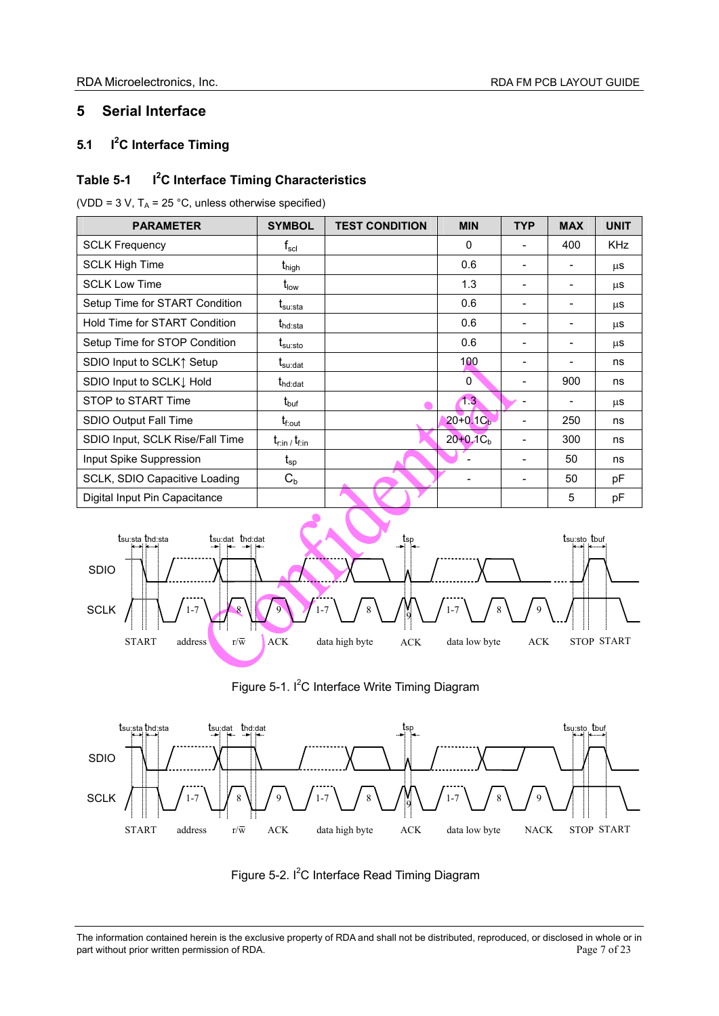## **5 Serial Interface**

#### **5.1 I<sup>2</sup> C Interface Timing**

#### **Table 5-1 C Interface Timing Characteristics**

(VDD = 3 V,  $T_A$  = 25 °C, unless otherwise specified)

| <b>PARAMETER</b>                | <b>SYMBOL</b>                                       | <b>TEST CONDITION</b> | <b>MIN</b>    | <b>TYP</b> | <b>MAX</b>                   | <b>UNIT</b> |
|---------------------------------|-----------------------------------------------------|-----------------------|---------------|------------|------------------------------|-------------|
| <b>SCLK Frequency</b>           | $\mathsf{f}_{\mathsf{scl}}$                         |                       | 0             |            | 400                          | <b>KHz</b>  |
| <b>SCLK High Time</b>           | <b>t</b> <sub>high</sub>                            |                       | 0.6           | ۰          | $\overline{\phantom{a}}$     | μS          |
| <b>SCLK Low Time</b>            | $t_{\text{low}}$                                    |                       | 1.3           |            |                              | μS          |
| Setup Time for START Condition  | $\bm{{\mathsf{t}}}_{\mathsf{su}: \mathsf{sta}}$     |                       | 0.6           |            | $\qquad \qquad \blacksquare$ | μS          |
| Hold Time for START Condition   | $t_{\text{hd:sta}}$                                 |                       | 0.6           |            |                              | μS          |
| Setup Time for STOP Condition   | $\mathfrak{t}_{\text{su:sto}}$                      |                       | 0.6           |            | $\qquad \qquad \blacksquare$ | μS          |
| SDIO Input to SCLK↑ Setup       | $\boldsymbol{\mathrm{t}}_{\mathrm{su}: \text{dat}}$ |                       | 100           |            |                              | ns          |
| SDIO Input to SCLK I Hold       | $t_{\text{hd:dat}}$                                 |                       | 0             |            | 900                          | ns          |
| STOP to START Time              | $t_{\text{buf}}$                                    |                       | 1.3           |            |                              | μS          |
| SDIO Output Fall Time           | $t_{\rm f,out}$                                     |                       | $20+0.1Cb$    |            | 250                          | ns          |
| SDIO Input, SCLK Rise/Fall Time | $t_{\text{rim}}$ , $t_{\text{fin}}$                 |                       | $20+0.1C_{b}$ |            | 300                          | ns          |
| Input Spike Suppression         | $\mathfrak{t}_{\mathsf{sp}}$                        |                       |               |            | 50                           | ns          |
| SCLK, SDIO Capacitive Loading   | $C_{b}$                                             |                       |               |            | 50                           | рF          |
| Digital Input Pin Capacitance   |                                                     |                       |               |            | 5                            | pF          |









The information contained herein is the exclusive property of RDA and shall not be distributed, reproduced, or disclosed in whole or in part without prior written permission of RDA. part without prior written permission of RDA.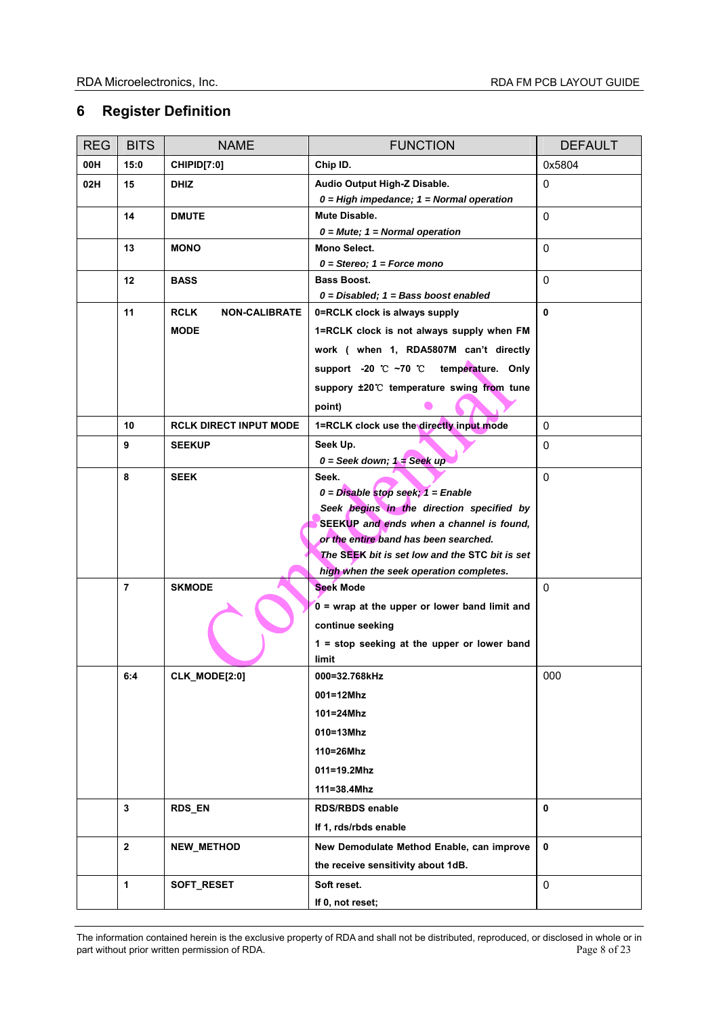## **6 Register Definition**

| <b>REG</b> | <b>BITS</b>    | <b>NAME</b>                         | <b>FUNCTION</b>                                                                       | <b>DEFAULT</b> |
|------------|----------------|-------------------------------------|---------------------------------------------------------------------------------------|----------------|
| 00H        | 15:0           | CHIPID[7:0]                         | Chip ID.                                                                              | 0x5804         |
| 02H        | 15             | <b>DHIZ</b>                         | Audio Output High-Z Disable.<br>$0 = High$ impedance; $1 = Normal$ operation          | $\mathbf 0$    |
|            | 14             | <b>DMUTE</b>                        | Mute Disable.<br>$0 = Mute$ ; 1 = Normal operation                                    | $\Omega$       |
|            | 13             | <b>MONO</b>                         | Mono Select.<br>$0 =$ Stereo; $1 =$ Force mono                                        | $\Omega$       |
|            | 12             | <b>BASS</b>                         | <b>Bass Boost.</b><br>$0 = Disable$ d; 1 = Bass boost enabled                         | 0              |
|            | 11             | <b>RCLK</b><br><b>NON-CALIBRATE</b> | 0=RCLK clock is always supply                                                         | $\mathbf{0}$   |
|            |                | <b>MODE</b>                         | 1=RCLK clock is not always supply when FM                                             |                |
|            |                |                                     | work ( when 1, RDA5807M can't directly                                                |                |
|            |                |                                     | support -20 ℃ ~70 ℃ temperature. Only                                                 |                |
|            |                |                                     | suppory ±20°C temperature swing from tune                                             |                |
|            |                |                                     | point)                                                                                |                |
|            | 10             | <b>RCLK DIRECT INPUT MODE</b>       | 1=RCLK clock use the directly input mode                                              | 0              |
|            | 9              | <b>SEEKUP</b>                       | Seek Up.<br>$0 =$ Seek down; $1 =$ Seek up                                            | $\mathbf 0$    |
|            | 8              | <b>SEEK</b>                         | Seek.                                                                                 | $\Omega$       |
|            |                |                                     | $0 = Disable$ stop seek; $1 =$ Enable                                                 |                |
|            |                |                                     | Seek begins in the direction specified by<br>SEEKUP and ends when a channel is found. |                |
|            |                |                                     | or the entire band has been searched.                                                 |                |
|            |                |                                     | The SEEK bit is set low and the STC bit is set                                        |                |
|            |                |                                     | high when the seek operation completes.                                               |                |
|            | $\overline{7}$ | <b>SKMODE</b>                       | <b>Seek Mode</b>                                                                      | 0              |
|            |                |                                     | $0 =$ wrap at the upper or lower band limit and                                       |                |
|            |                |                                     | continue seeking                                                                      |                |
|            |                |                                     | $1 = stop$ seeking at the upper or lower band<br>limit                                |                |
|            | 6:4            | CLK_MODE[2:0]                       | 000=32.768kHz                                                                         | 000            |
|            |                |                                     | 001=12Mhz                                                                             |                |
|            |                |                                     | 101=24Mhz                                                                             |                |
|            |                |                                     | 010=13Mhz                                                                             |                |
|            |                |                                     | 110=26Mhz                                                                             |                |
|            |                |                                     | 011=19.2Mhz                                                                           |                |
|            |                |                                     | 111=38.4Mhz                                                                           |                |
|            | 3              | RDS_EN                              | <b>RDS/RBDS enable</b>                                                                | 0              |
|            |                |                                     | If 1, rds/rbds enable                                                                 |                |
|            | $\overline{2}$ | NEW_METHOD                          | New Demodulate Method Enable, can improve                                             | 0              |
|            |                |                                     | the receive sensitivity about 1dB.                                                    |                |
|            | 1              | SOFT_RESET                          | Soft reset.                                                                           | 0              |
|            |                |                                     | If 0, not reset;                                                                      |                |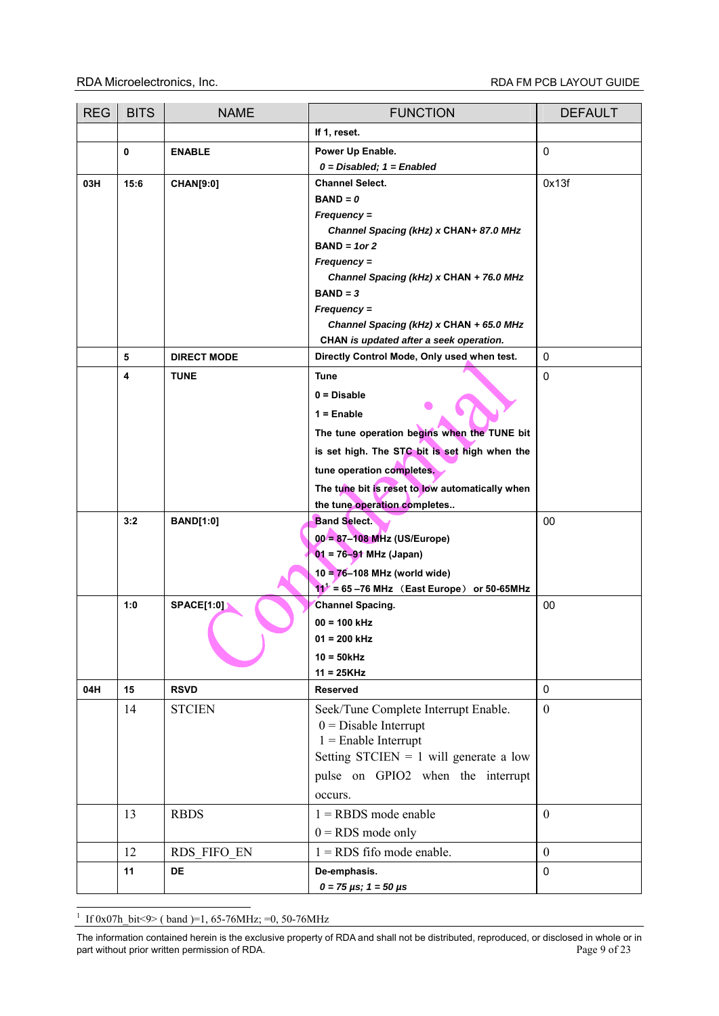| <b>REG</b> | <b>BITS</b> | <b>NAME</b>        | <b>FUNCTION</b>                                                 | <b>DEFAULT</b>   |
|------------|-------------|--------------------|-----------------------------------------------------------------|------------------|
|            |             |                    | If 1, reset.                                                    |                  |
|            | 0           | <b>ENABLE</b>      | Power Up Enable.<br>$0 = Disabled$ ; $1 = Enabled$              | 0                |
| 03H        | 15:6        | <b>CHAN[9:0]</b>   | <b>Channel Select.</b><br>$BAND = 0$                            | 0x13f            |
|            |             |                    | Frequency =                                                     |                  |
|            |             |                    | Channel Spacing (kHz) x CHAN+ 87.0 MHz                          |                  |
|            |             |                    | $BAND = 1$ or 2                                                 |                  |
|            |             |                    | $Frequency =$                                                   |                  |
|            |             |                    | Channel Spacing (kHz) x CHAN + 76.0 MHz                         |                  |
|            |             |                    | $BAND = 3$                                                      |                  |
|            |             |                    | $Frequency =$<br>Channel Spacing (kHz) x CHAN + 65.0 MHz        |                  |
|            |             |                    | CHAN is updated after a seek operation.                         |                  |
|            | 5           | <b>DIRECT MODE</b> | Directly Control Mode, Only used when test.                     | 0                |
|            | 4           | <b>TUNE</b>        | <b>Tune</b>                                                     | 0                |
|            |             |                    | $0 = Disable$                                                   |                  |
|            |             |                    | $1 =$ Enable                                                    |                  |
|            |             |                    | The tune operation begins when the TUNE bit                     |                  |
|            |             |                    | is set high. The STC bit is set high when the                   |                  |
|            |             |                    | tune operation completes.                                       |                  |
|            |             |                    | The tune bit is reset to low automatically when                 |                  |
|            |             |                    | the tune operation completes                                    |                  |
|            | 3:2         | <b>BAND[1:0]</b>   | <b>Band Select.</b>                                             | 00               |
|            |             |                    | 00 = 87-108 MHz (US/Europe)                                     |                  |
|            |             |                    | $01 = 76 - 91$ MHz (Japan)                                      |                  |
|            |             |                    | 10 = 76-108 MHz (world wide)                                    |                  |
|            |             |                    | $11^1$ = 65-76 MHz (East Europe) or 50-65MHz                    |                  |
|            | 1:0         | <b>SPACE[1:0]</b>  | <b>Channel Spacing.</b>                                         | 00               |
|            |             |                    | $00 = 100$ kHz                                                  |                  |
|            |             |                    | $01 = 200$ kHz                                                  |                  |
|            |             |                    | $10 = 50$ kHz                                                   |                  |
| 04H        | 15          | <b>RSVD</b>        | $11 = 25KHz$<br><b>Reserved</b>                                 | $\pmb{0}$        |
|            |             |                    |                                                                 |                  |
|            | 14          | <b>STCIEN</b>      | Seek/Tune Complete Interrupt Enable.<br>$0 = Disable$ Interrupt | $\mathbf{0}$     |
|            |             |                    | $1 =$ Enable Interrupt                                          |                  |
|            |             |                    | Setting STCIEN = 1 will generate a low                          |                  |
|            |             |                    | pulse on GPIO2 when the interrupt                               |                  |
|            |             |                    | occurs.                                                         |                  |
|            | 13          | <b>RBDS</b>        | $1 =$ RBDS mode enable                                          | $\boldsymbol{0}$ |
|            |             |                    | $0 = RDS$ mode only                                             |                  |
|            | 12          | RDS FIFO EN        | $1 = RDS$ fifo mode enable.                                     | $\boldsymbol{0}$ |
|            | 11          | <b>DE</b>          | De-emphasis.                                                    | $\pmb{0}$        |
|            |             |                    | $0 = 75 \,\mu s$ ; $1 = 50 \,\mu s$                             |                  |

<sup>1</sup> If 0x07h bit<9> ( band )=1, 65-76MHz; =0, 50-76MHz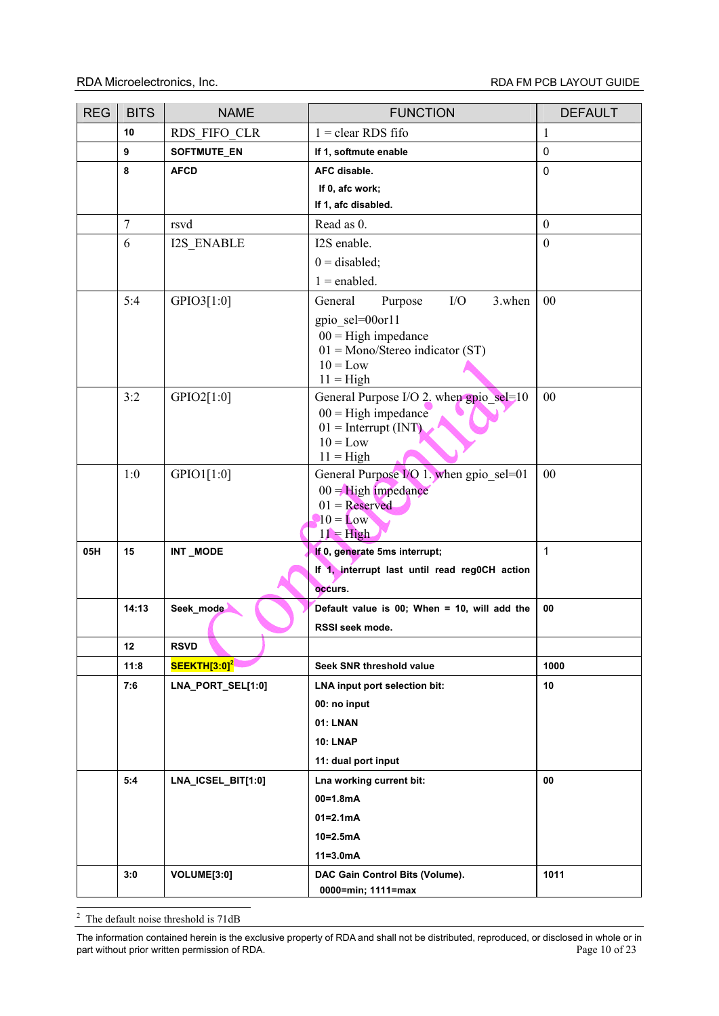| <b>REG</b> | <b>BITS</b>    | <b>NAME</b>              | <b>FUNCTION</b>                                        | <b>DEFAULT</b>   |
|------------|----------------|--------------------------|--------------------------------------------------------|------------------|
|            | 10             | RDS FIFO CLR             | $1 =$ clear RDS fifo                                   | $\mathbf{1}$     |
|            | 9              | SOFTMUTE_EN              | If 1, softmute enable                                  | $\mathbf 0$      |
|            | 8              | <b>AFCD</b>              | AFC disable.                                           | $\mathbf 0$      |
|            |                |                          | If 0, afc work;                                        |                  |
|            |                |                          | If 1, afc disabled.                                    |                  |
|            | $\overline{7}$ | rsvd                     | Read as 0.                                             | $\boldsymbol{0}$ |
|            | 6              | <b>I2S ENABLE</b>        | I2S enable.                                            | $\boldsymbol{0}$ |
|            |                |                          | $0 =$ disabled;                                        |                  |
|            |                |                          | $1 =$ enabled.                                         |                  |
|            | 5:4            | GPIO3[1:0]               | I/O<br>3.when<br>General<br>Purpose                    | 00               |
|            |                |                          | gpio_sel=00or11                                        |                  |
|            |                |                          | $00 =$ High impedance                                  |                  |
|            |                |                          | $01 = \text{Mono/Stereo}$ indicator (ST)<br>$10 = Low$ |                  |
|            |                |                          | $11 =$ High                                            |                  |
|            | 3:2            | GPIO2[1:0]               | General Purpose I/O 2. when gpio sel=10                | 00               |
|            |                |                          | $00 =$ High impedance                                  |                  |
|            |                |                          | $01 =$ Interrupt (INT)<br>$10 = Low$                   |                  |
|            |                |                          | $11 =$ High                                            |                  |
|            | 1:0            | GPIO1[1:0]               | General Purpose I/O 1. when gpio sel=01                | 00               |
|            |                |                          | $00 =$ High impedance                                  |                  |
|            |                |                          | $01 =$ Reserved                                        |                  |
|            |                |                          | $10 =$ Low<br>$11 = High$                              |                  |
| 05H        | 15             | <b>INT_MODE</b>          | If 0, generate 5ms interrupt;                          | $\mathbf{1}$     |
|            |                |                          | If 1, interrupt last until read reg0CH action          |                  |
|            |                |                          | occurs.                                                |                  |
|            | 14:13          | Seek_mode                | Default value is 00; When = 10, will add the           | 00               |
|            |                |                          | RSSI seek mode.                                        |                  |
|            | 12             | <b>RSVD</b>              |                                                        |                  |
|            | 11:8           | SEEKTH[3:0] <sup>2</sup> | Seek SNR threshold value                               | 1000             |
|            | 7:6            | LNA_PORT_SEL[1:0]        | LNA input port selection bit:                          | 10               |
|            |                |                          | 00: no input                                           |                  |
|            |                |                          | 01: LNAN                                               |                  |
|            |                |                          | <b>10: LNAP</b>                                        |                  |
|            |                |                          | 11: dual port input                                    |                  |
|            | 5:4            | LNA_ICSEL_BIT[1:0]       | Lna working current bit:                               | 00               |
|            |                |                          | $00 = 1.8mA$                                           |                  |
|            |                |                          | $01 = 2.1mA$                                           |                  |
|            |                |                          | $10 = 2.5mA$                                           |                  |
|            |                |                          | $11 = 3.0mA$                                           |                  |
|            | 3:0            | VOLUME[3:0]              | DAC Gain Control Bits (Volume).                        | 1011             |
|            |                |                          | 0000=min; 1111=max                                     |                  |

<sup>2</sup> The default noise threshold is 71dB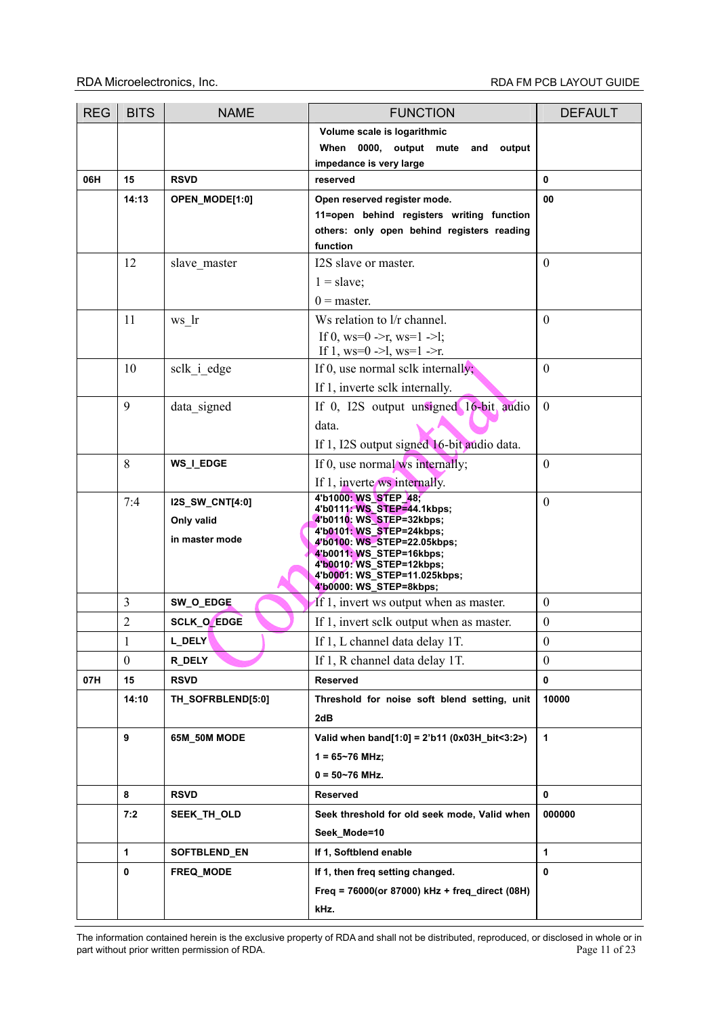| Volume scale is logarithmic<br>When 0000, output mute and<br>output<br>impedance is very large<br>06H<br>15<br><b>RSVD</b><br>reserved<br>0<br>Open reserved register mode.<br>00<br>14:13<br>OPEN_MODE[1:0]<br>11=open behind registers writing function<br>others: only open behind registers reading<br>function<br>12<br>$\mathbf{0}$<br>I2S slave or master.<br>slave master<br>$1 =$ slave;<br>$0 =$ master.<br>11<br>$\overline{0}$<br>Ws relation to l/r channel.<br>ws_lr<br>If 0, ws=0 ->r, ws=1 ->1;<br>If 1, $ws=0$ ->1, $ws=1$ ->r.<br>$\boldsymbol{0}$<br>10<br>If 0, use normal sclk internally;<br>sclk i edge<br>If 1, inverte sclk internally.<br>9<br>If 0, I2S output unsigned 16-bit audio<br>$\boldsymbol{0}$<br>data signed<br>data.<br>If 1, I2S output signed 16-bit audio data.<br>8<br>$\overline{0}$<br>WS_I_EDGE<br>If 0, use normal ws internally; |
|----------------------------------------------------------------------------------------------------------------------------------------------------------------------------------------------------------------------------------------------------------------------------------------------------------------------------------------------------------------------------------------------------------------------------------------------------------------------------------------------------------------------------------------------------------------------------------------------------------------------------------------------------------------------------------------------------------------------------------------------------------------------------------------------------------------------------------------------------------------------------------|
|                                                                                                                                                                                                                                                                                                                                                                                                                                                                                                                                                                                                                                                                                                                                                                                                                                                                                  |
|                                                                                                                                                                                                                                                                                                                                                                                                                                                                                                                                                                                                                                                                                                                                                                                                                                                                                  |
|                                                                                                                                                                                                                                                                                                                                                                                                                                                                                                                                                                                                                                                                                                                                                                                                                                                                                  |
|                                                                                                                                                                                                                                                                                                                                                                                                                                                                                                                                                                                                                                                                                                                                                                                                                                                                                  |
|                                                                                                                                                                                                                                                                                                                                                                                                                                                                                                                                                                                                                                                                                                                                                                                                                                                                                  |
|                                                                                                                                                                                                                                                                                                                                                                                                                                                                                                                                                                                                                                                                                                                                                                                                                                                                                  |
|                                                                                                                                                                                                                                                                                                                                                                                                                                                                                                                                                                                                                                                                                                                                                                                                                                                                                  |
|                                                                                                                                                                                                                                                                                                                                                                                                                                                                                                                                                                                                                                                                                                                                                                                                                                                                                  |
|                                                                                                                                                                                                                                                                                                                                                                                                                                                                                                                                                                                                                                                                                                                                                                                                                                                                                  |
|                                                                                                                                                                                                                                                                                                                                                                                                                                                                                                                                                                                                                                                                                                                                                                                                                                                                                  |
|                                                                                                                                                                                                                                                                                                                                                                                                                                                                                                                                                                                                                                                                                                                                                                                                                                                                                  |
|                                                                                                                                                                                                                                                                                                                                                                                                                                                                                                                                                                                                                                                                                                                                                                                                                                                                                  |
|                                                                                                                                                                                                                                                                                                                                                                                                                                                                                                                                                                                                                                                                                                                                                                                                                                                                                  |
|                                                                                                                                                                                                                                                                                                                                                                                                                                                                                                                                                                                                                                                                                                                                                                                                                                                                                  |
|                                                                                                                                                                                                                                                                                                                                                                                                                                                                                                                                                                                                                                                                                                                                                                                                                                                                                  |
|                                                                                                                                                                                                                                                                                                                                                                                                                                                                                                                                                                                                                                                                                                                                                                                                                                                                                  |
|                                                                                                                                                                                                                                                                                                                                                                                                                                                                                                                                                                                                                                                                                                                                                                                                                                                                                  |
|                                                                                                                                                                                                                                                                                                                                                                                                                                                                                                                                                                                                                                                                                                                                                                                                                                                                                  |
|                                                                                                                                                                                                                                                                                                                                                                                                                                                                                                                                                                                                                                                                                                                                                                                                                                                                                  |
| If 1, inverte ws internally.                                                                                                                                                                                                                                                                                                                                                                                                                                                                                                                                                                                                                                                                                                                                                                                                                                                     |
| 4'b1000: WS_STEP_48;<br>$\boldsymbol{0}$<br>7:4<br><b>I2S_SW_CNT[4:0]</b>                                                                                                                                                                                                                                                                                                                                                                                                                                                                                                                                                                                                                                                                                                                                                                                                        |
| 4'b0111: WS_STEP=44.1kbps;<br>4'b0110: WS_STEP=32kbps;                                                                                                                                                                                                                                                                                                                                                                                                                                                                                                                                                                                                                                                                                                                                                                                                                           |
| Only valid<br>4'b0101: WS_STEP=24kbps;                                                                                                                                                                                                                                                                                                                                                                                                                                                                                                                                                                                                                                                                                                                                                                                                                                           |
| in master mode<br>4'b0100: WS_STEP=22.05kbps;<br>4'b0011: WS_STEP=16kbps;                                                                                                                                                                                                                                                                                                                                                                                                                                                                                                                                                                                                                                                                                                                                                                                                        |
| 4'b0010: WS_STEP=12kbps;                                                                                                                                                                                                                                                                                                                                                                                                                                                                                                                                                                                                                                                                                                                                                                                                                                                         |
| 4'b0001: WS_STEP=11.025kbps;<br>4'b0000: WS_STEP=8kbps;                                                                                                                                                                                                                                                                                                                                                                                                                                                                                                                                                                                                                                                                                                                                                                                                                          |
| $\overline{3}$<br>SW_O_EDGE<br>$\boldsymbol{0}$<br>If 1, invert ws output when as master.                                                                                                                                                                                                                                                                                                                                                                                                                                                                                                                                                                                                                                                                                                                                                                                        |
| $\overline{2}$<br>$\boldsymbol{0}$<br><b>SCLK_O_EDGE</b><br>If 1, invert selk output when as master.                                                                                                                                                                                                                                                                                                                                                                                                                                                                                                                                                                                                                                                                                                                                                                             |
| $\mathbf{1}$<br>If 1, L channel data delay 1T.<br>$\boldsymbol{0}$<br>L_DELY                                                                                                                                                                                                                                                                                                                                                                                                                                                                                                                                                                                                                                                                                                                                                                                                     |
| $\theta$<br>R_DELY<br>If 1, R channel data delay 1T.<br>$\mathbf{0}$                                                                                                                                                                                                                                                                                                                                                                                                                                                                                                                                                                                                                                                                                                                                                                                                             |
| 07H<br>15<br><b>RSVD</b><br>Reserved<br>0                                                                                                                                                                                                                                                                                                                                                                                                                                                                                                                                                                                                                                                                                                                                                                                                                                        |
| Threshold for noise soft blend setting, unit<br>10000<br>14:10<br>TH_SOFRBLEND[5:0]                                                                                                                                                                                                                                                                                                                                                                                                                                                                                                                                                                                                                                                                                                                                                                                              |
| 2dB                                                                                                                                                                                                                                                                                                                                                                                                                                                                                                                                                                                                                                                                                                                                                                                                                                                                              |
| 9<br>1<br>65M_50M MODE<br>Valid when band[1:0] = 2'b11 (0x03H_bit<3:2>)                                                                                                                                                                                                                                                                                                                                                                                                                                                                                                                                                                                                                                                                                                                                                                                                          |
| $1 = 65 - 76$ MHz;                                                                                                                                                                                                                                                                                                                                                                                                                                                                                                                                                                                                                                                                                                                                                                                                                                                               |
| $0 = 50 - 76$ MHz.                                                                                                                                                                                                                                                                                                                                                                                                                                                                                                                                                                                                                                                                                                                                                                                                                                                               |
| 8<br><b>RSVD</b><br>0<br><b>Reserved</b>                                                                                                                                                                                                                                                                                                                                                                                                                                                                                                                                                                                                                                                                                                                                                                                                                                         |
| Seek threshold for old seek mode, Valid when<br>000000<br>7:2<br>SEEK_TH_OLD                                                                                                                                                                                                                                                                                                                                                                                                                                                                                                                                                                                                                                                                                                                                                                                                     |
| Seek Mode=10                                                                                                                                                                                                                                                                                                                                                                                                                                                                                                                                                                                                                                                                                                                                                                                                                                                                     |
| 1<br>SOFTBLEND_EN<br>If 1, Softblend enable<br>1                                                                                                                                                                                                                                                                                                                                                                                                                                                                                                                                                                                                                                                                                                                                                                                                                                 |
| $\pmb{0}$<br>0<br>FREQ_MODE<br>If 1, then freq setting changed.                                                                                                                                                                                                                                                                                                                                                                                                                                                                                                                                                                                                                                                                                                                                                                                                                  |
| Freq = $76000$ (or 87000) kHz + freq_direct (08H)                                                                                                                                                                                                                                                                                                                                                                                                                                                                                                                                                                                                                                                                                                                                                                                                                                |
| kHz.                                                                                                                                                                                                                                                                                                                                                                                                                                                                                                                                                                                                                                                                                                                                                                                                                                                                             |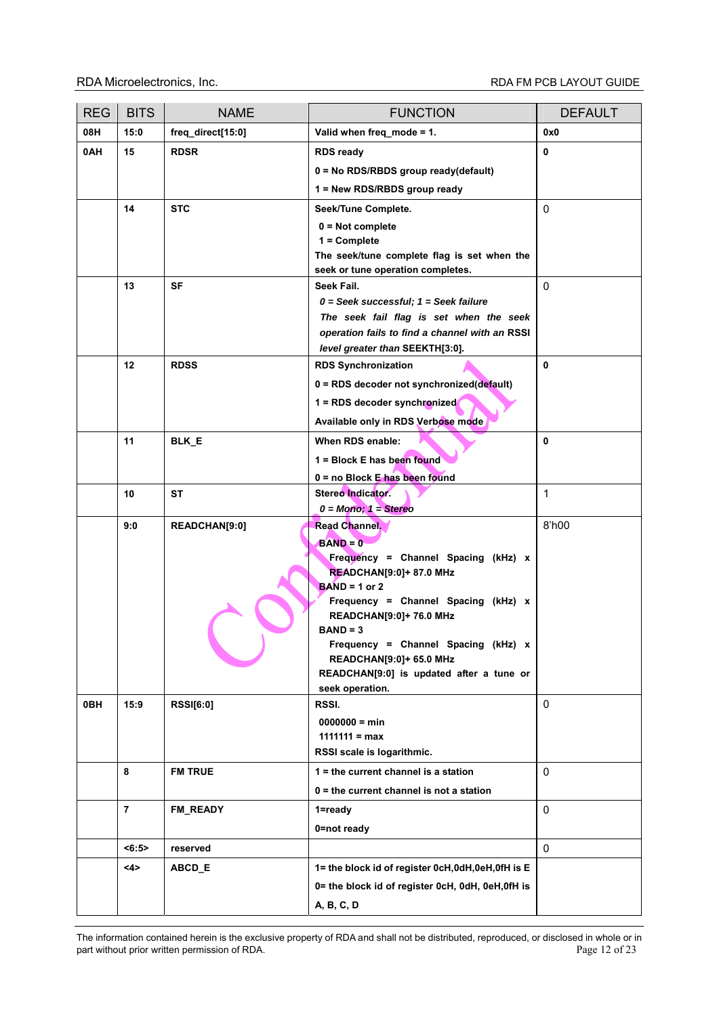| <b>REG</b> | <b>BITS</b>    | <b>NAME</b>       | <b>FUNCTION</b>                                                                           | <b>DEFAULT</b> |
|------------|----------------|-------------------|-------------------------------------------------------------------------------------------|----------------|
| 08H        | 15:0           | freq_direct[15:0] | Valid when freq_mode = 1.                                                                 | 0x0            |
| 0AH        | 15             | <b>RDSR</b>       | <b>RDS ready</b>                                                                          | 0              |
|            |                |                   | $0 = No RDS/RBDS$ group ready(default)                                                    |                |
|            |                |                   | 1 = New RDS/RBDS group ready                                                              |                |
|            | 14             | <b>STC</b>        | Seek/Tune Complete.                                                                       | 0              |
|            |                |                   | $0 = Not complete$                                                                        |                |
|            |                |                   | $1 =$ Complete                                                                            |                |
|            |                |                   | The seek/tune complete flag is set when the                                               |                |
|            |                |                   | seek or tune operation completes.                                                         |                |
|            | 13             | SF                | Seek Fail.                                                                                | 0              |
|            |                |                   | $0 =$ Seek successful; $1 =$ Seek failure                                                 |                |
|            |                |                   | The seek fail flag is set when the seek<br>operation fails to find a channel with an RSSI |                |
|            |                |                   | level greater than SEEKTH[3:0].                                                           |                |
|            | 12             | <b>RDSS</b>       | <b>RDS Synchronization</b>                                                                | 0              |
|            |                |                   | 0 = RDS decoder not synchronized(default)                                                 |                |
|            |                |                   | 1 = RDS decoder synchronized                                                              |                |
|            |                |                   | Available only in RDS Verbose mode                                                        |                |
|            | 11             | BLK_E             | When RDS enable:                                                                          | 0              |
|            |                |                   | 1 = Block E has been found                                                                |                |
|            |                |                   | $0 = no Block E has been found$                                                           |                |
|            | 10             | <b>ST</b>         | Stereo Indicator.                                                                         | 1              |
|            |                |                   | $0 = \text{Mono}$ ; $1 = \text{Stereo}$                                                   |                |
|            | 9:0            | READCHAN[9:0]     | Read Channel.                                                                             | 8'h00          |
|            |                |                   | $BAND = 0$                                                                                |                |
|            |                |                   | Frequency = Channel Spacing (kHz) x                                                       |                |
|            |                |                   | <b>READCHAN[9:0]+ 87.0 MHz</b>                                                            |                |
|            |                |                   | $BAND = 1$ or 2<br>Frequency = Channel Spacing (kHz) x                                    |                |
|            |                |                   | READCHAN[9:0]+ 76.0 MHz                                                                   |                |
|            |                |                   | $BAND = 3$                                                                                |                |
|            |                |                   | Frequency = Channel Spacing (kHz) x                                                       |                |
|            |                |                   | <b>READCHAN[9:0]+ 65.0 MHz</b>                                                            |                |
|            |                |                   | READCHAN[9:0] is updated after a tune or<br>seek operation.                               |                |
| 0BH        | 15:9           | <b>RSSI[6:0]</b>  | RSSI.                                                                                     | 0              |
|            |                |                   | $0000000 = min$                                                                           |                |
|            |                |                   | $1111111 = max$                                                                           |                |
|            |                |                   | RSSI scale is logarithmic.                                                                |                |
|            | 8              | <b>FM TRUE</b>    | $1$ = the current channel is a station                                                    | $\mathbf 0$    |
|            |                |                   | $0 =$ the current channel is not a station                                                |                |
|            | $\overline{7}$ | FM READY          | $1 =$ ready                                                                               | 0              |
|            |                |                   | 0=not ready                                                                               |                |
|            | $5 - 6:5$      | reserved          |                                                                                           | 0              |
|            | 4>             | ABCD_E            | 1= the block id of register 0cH,0dH,0eH,0fH is E                                          |                |
|            |                |                   | 0= the block id of register 0cH, 0dH, 0eH, 0fH is                                         |                |
|            |                |                   | A, B, C, D                                                                                |                |
|            |                |                   |                                                                                           |                |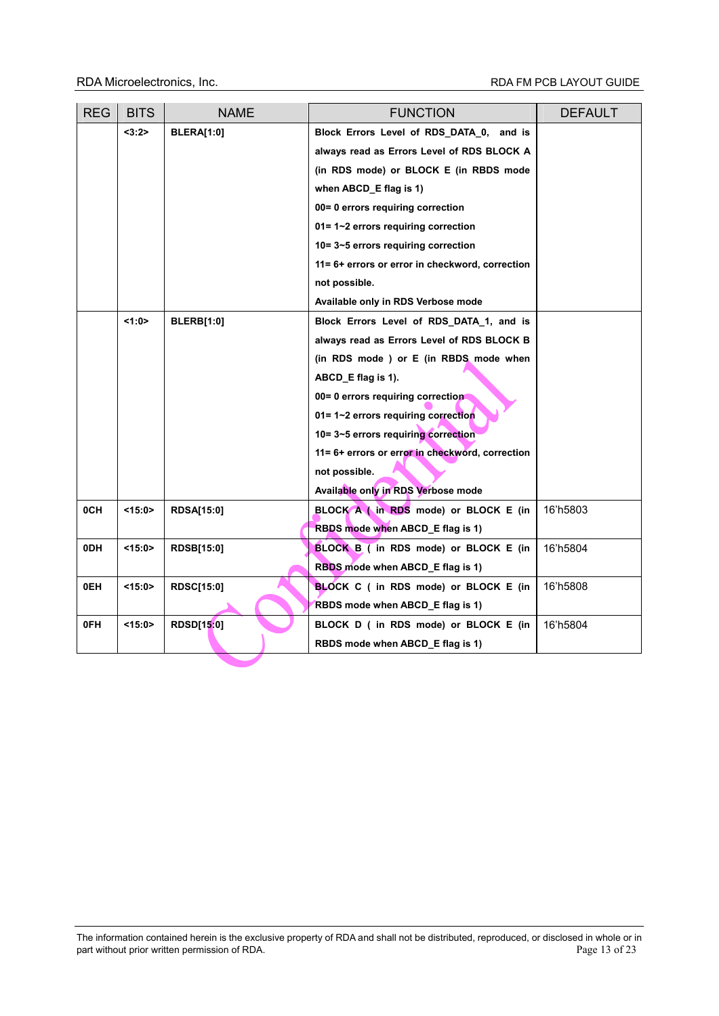| <b>REG</b> | <b>BITS</b> | <b>NAME</b>       | <b>FUNCTION</b>                                 | <b>DEFAULT</b> |
|------------|-------------|-------------------|-------------------------------------------------|----------------|
|            | <3:2>       | <b>BLERA[1:0]</b> | Block Errors Level of RDS_DATA_0, and is        |                |
|            |             |                   | always read as Errors Level of RDS BLOCK A      |                |
|            |             |                   | (in RDS mode) or BLOCK E (in RBDS mode          |                |
|            |             |                   | when ABCD_E flag is 1)                          |                |
|            |             |                   | 00= 0 errors requiring correction               |                |
|            |             |                   | $01 = 1 - 2$ errors requiring correction        |                |
|            |             |                   | 10=3~5 errors requiring correction              |                |
|            |             |                   | 11= 6+ errors or error in checkword, correction |                |
|            |             |                   | not possible.                                   |                |
|            |             |                   | Available only in RDS Verbose mode              |                |
|            | 1:0         | <b>BLERB[1:0]</b> | Block Errors Level of RDS DATA 1, and is        |                |
|            |             |                   | always read as Errors Level of RDS BLOCK B      |                |
|            |             |                   | (in RDS mode ) or E (in RBDS mode when          |                |
|            |             |                   | ABCD E flag is 1).                              |                |
|            |             |                   | 00= 0 errors requiring correction               |                |
|            |             |                   | 01= 1~2 errors requiring correction             |                |
|            |             |                   | 10=3~5 errors requiring correction              |                |
|            |             |                   | 11= 6+ errors or error in checkword, correction |                |
|            |             |                   | not possible.                                   |                |
|            |             |                   | Available only in RDS Verbose mode              |                |
| 0CH        | <15:0>      | <b>RDSA[15:0]</b> | BLOCK A (in RDS mode) or BLOCK E (in            | 16'h5803       |
|            |             |                   | RBDS mode when ABCD E flag is 1)                |                |
| 0DH        | $<$ 15:0>   | <b>RDSB[15:0]</b> | BLOCK B ( in RDS mode) or BLOCK E (in           | 16'h5804       |
|            |             |                   | RBDS mode when ABCD_E flag is 1)                |                |
| 0EH        | <15:0>      | <b>RDSC[15:0]</b> | <b>BLOCK C</b> (in RDS mode) or BLOCK E (in     | 16'h5808       |
|            |             |                   | RBDS mode when ABCD E flag is 1)                |                |
| 0FH        | <15:0>      | <b>RDSD[15:0]</b> | BLOCK D ( in RDS mode) or BLOCK E (in           | 16'h5804       |
|            |             |                   | RBDS mode when ABCD E flag is 1)                |                |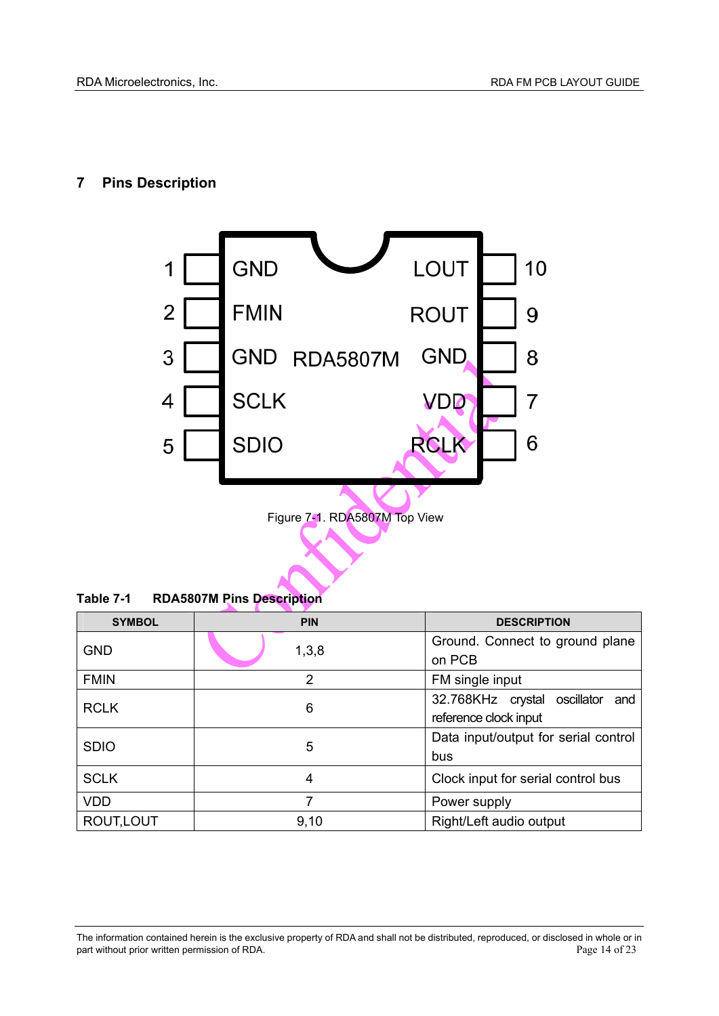## **7 Pins Description**



**Table 7-1 RDA5807M Pins Description** 

| <b>SYMBOL</b> | <b>PIN</b>     | <b>DESCRIPTION</b>                        |
|---------------|----------------|-------------------------------------------|
| <b>GND</b>    | 1,3,8          | Ground. Connect to ground plane<br>on PCB |
|               |                |                                           |
| <b>FMIN</b>   | $\overline{2}$ | FM single input                           |
| <b>RCLK</b>   | 6              | 32.768KHz crystal oscillator<br>and       |
|               |                | reference clock input                     |
| <b>SDIO</b>   | 5              | Data input/output for serial control      |
|               |                | bus                                       |
| <b>SCLK</b>   | 4              | Clock input for serial control bus        |
| <b>VDD</b>    | 7              | Power supply                              |
| ROUT, LOUT    | 9,10           | Right/Left audio output                   |

The information contained herein is the exclusive property of RDA and shall not be distributed, reproduced, or disclosed in whole or in part without prior written permission of RDA.<br>Page 14 of 23 part without prior written permission of RDA.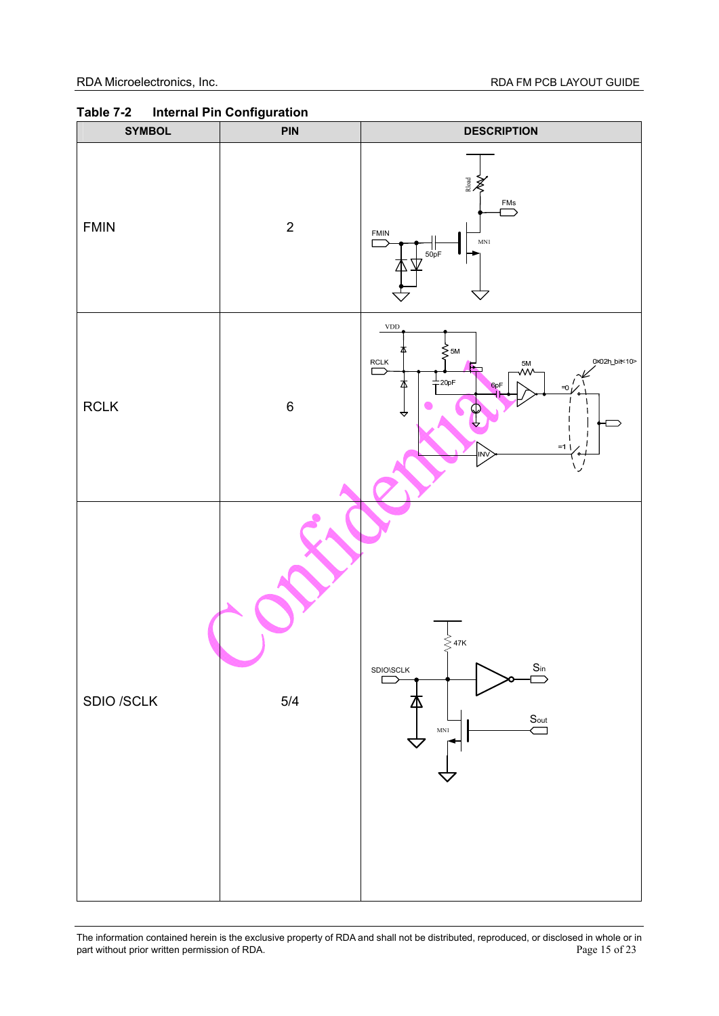| <b>SYMBOL</b> | <b>PIN</b>  | <b>DESCRIPTION</b>                                                                                                                                 |
|---------------|-------------|----------------------------------------------------------------------------------------------------------------------------------------------------|
| <b>FMIN</b>   | $\mathbf 2$ | Rioad<br>XX<br>FMS<br>⊃<br>FMIN<br>$\ensuremath{\mathsf{MNl}}$<br>$\frac{1}{50}$<br>Б                                                              |
| $\sf RCLK$    | $\,6\,$     | <b>VDD</b><br>⋚ѕм<br>0x02h_bit<10><br>RCLK<br>5M<br>√W^<br>冖<br>$+$ 20pF<br>Т<br>6 <sub>pF</sub><br>$= 0$<br><br>$=1$<br><b>INV</b><br>۰<br>゙゙゙゙゙゚ |
| SDIO /SCLK    | $5/4$       | $\lessgtr$ 47K<br>$\sum^{\text{Sin}}$<br>SDIO\SCLK<br>$\Box$<br>$\sum_{\text{Out}}$<br>MN1                                                         |

**Table 7-2 Internal Pin Configuration**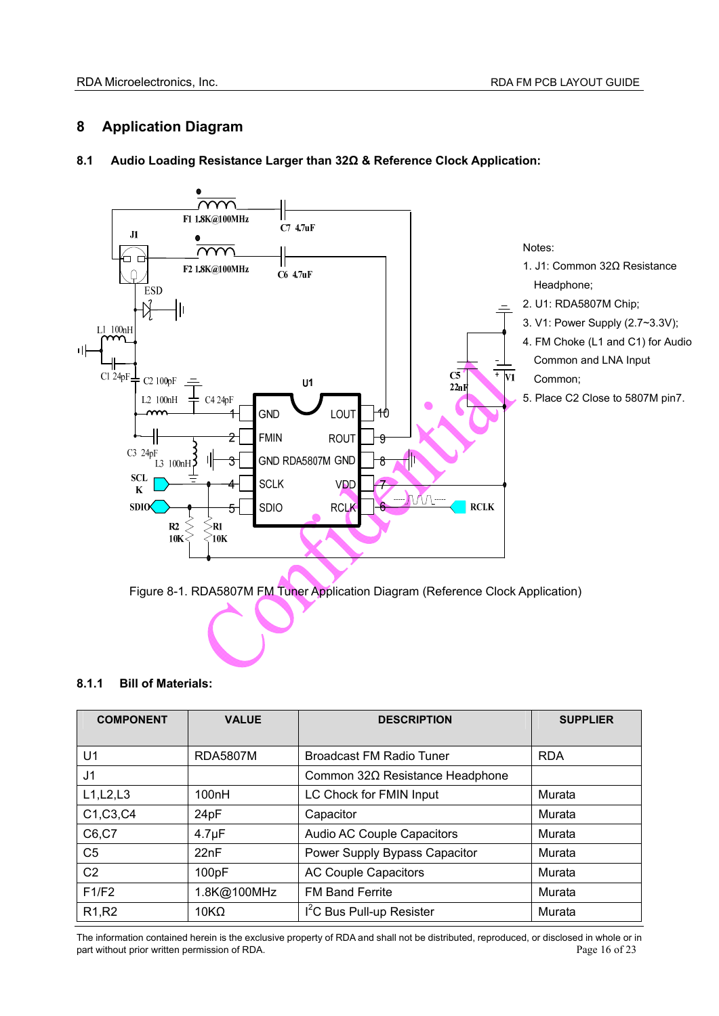## **8 Application Diagram**



### **8.1 Audio Loading Resistance Larger than 32Ω & Reference Clock Application:**

Figure 8-1. RDA5807M FM Tuner Application Diagram (Reference Clock Application)

### **8.1.1 Bill of Materials:**

| <b>COMPONENT</b>               | <b>VALUE</b>    | <b>DESCRIPTION</b>                    | <b>SUPPLIER</b> |
|--------------------------------|-----------------|---------------------------------------|-----------------|
|                                |                 |                                       |                 |
| U <sub>1</sub>                 | <b>RDA5807M</b> | <b>Broadcast FM Radio Tuner</b>       | <b>RDA</b>      |
| J1                             |                 | Common 32Ω Resistance Headphone       |                 |
| L1, L2, L3                     | 100nH           | LC Chock for FMIN Input               | Murata          |
| C1, C3, C4                     | 24pF            | Capacitor                             | Murata          |
| C6,C7                          | $4.7 \mu F$     | Audio AC Couple Capacitors            | Murata          |
| C <sub>5</sub>                 | 22nF            | Power Supply Bypass Capacitor         | Murata          |
| C <sub>2</sub>                 | 100pF           | <b>AC Couple Capacitors</b>           | Murata          |
| F1/F2                          | 1.8K@100MHz     | <b>FM Band Ferrite</b>                | Murata          |
| R <sub>1</sub> ,R <sub>2</sub> | $10K\Omega$     | I <sup>2</sup> C Bus Pull-up Resister | Murata          |

The information contained herein is the exclusive property of RDA and shall not be distributed, reproduced, or disclosed in whole or in part without prior written permission of RDA. **Page 16 of 23 Page 16 of 23**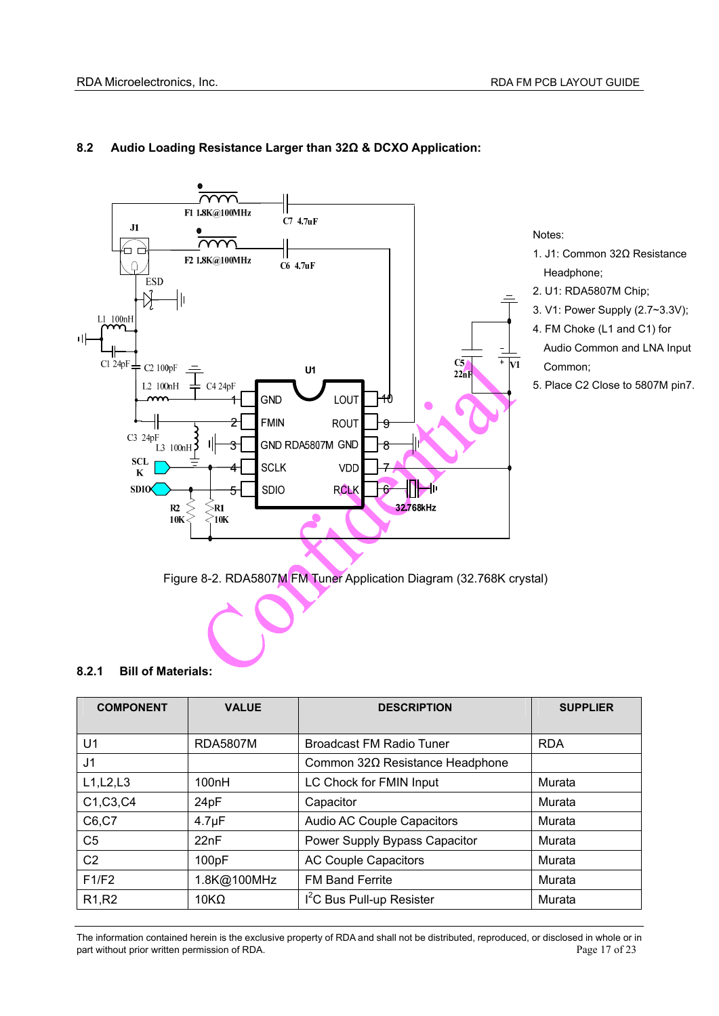

### **8.2 Audio Loading Resistance Larger than 32Ω & DCXO Application:**

Figure 8-2. RDA5807M FM Tuner Application Diagram (32.768K crystal)

#### **8.2.1 Bill of Materials:**

| <b>COMPONENT</b>               | <b>VALUE</b>    | <b>DESCRIPTION</b>                     | <b>SUPPLIER</b> |
|--------------------------------|-----------------|----------------------------------------|-----------------|
| U1                             | <b>RDA5807M</b> | <b>Broadcast FM Radio Tuner</b>        | <b>RDA</b>      |
| J <sub>1</sub>                 |                 | Common $32\Omega$ Resistance Headphone |                 |
| L1, L2, L3                     | 100nH           | LC Chock for FMIN Input                | Murata          |
| C1, C3, C4                     | 24pF            | Capacitor                              | Murata          |
| C6,C7                          | $4.7 \mu F$     | Audio AC Couple Capacitors             | Murata          |
| C <sub>5</sub>                 | 22nF            | Power Supply Bypass Capacitor          | Murata          |
| C <sub>2</sub>                 | 100pF           | <b>AC Couple Capacitors</b>            | Murata          |
| F1/F2                          | 1.8K@100MHz     | <b>FM Band Ferrite</b>                 | Murata          |
| R <sub>1</sub> ,R <sub>2</sub> | $10K\Omega$     | I <sup>2</sup> C Bus Pull-up Resister  | Murata          |

The information contained herein is the exclusive property of RDA and shall not be distributed, reproduced, or disclosed in whole or in part without prior written permission of RDA. **Page 17** of 23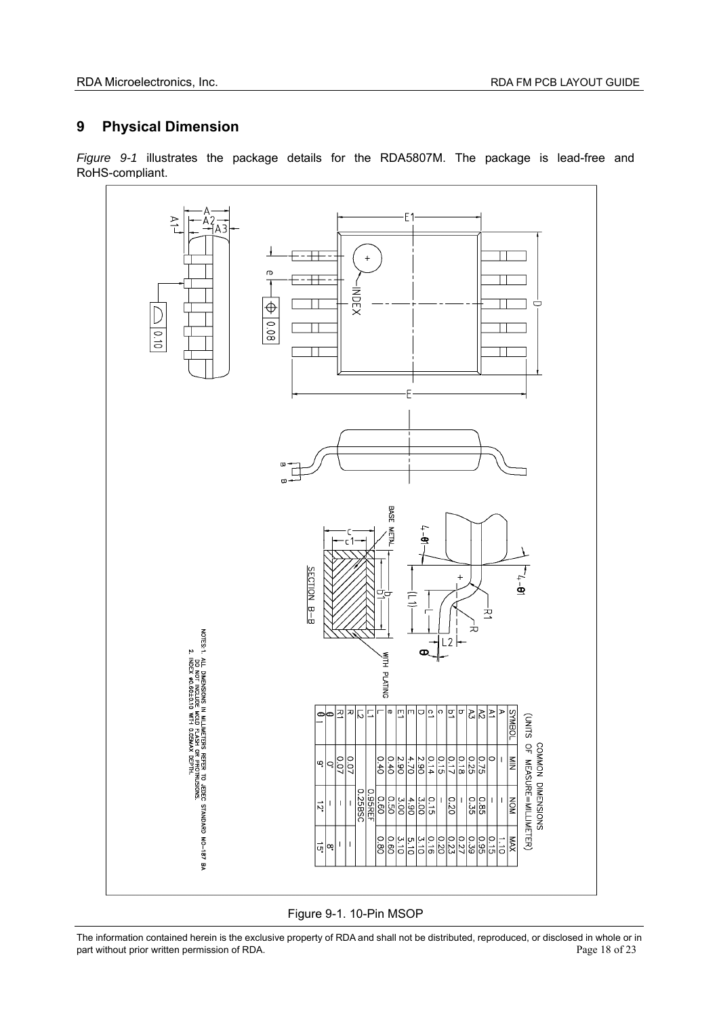## **9 Physical Dimension**

*Figure 9-1* illustrates the package details for the RDA5807M. The package is lead-free and RoHS-compliant.



Figure 9-1. 10-Pin MSOP

The information contained herein is the exclusive property of RDA and shall not be distributed, reproduced, or disclosed in whole or in part without prior written permission of RDA. part without prior written permission of RDA.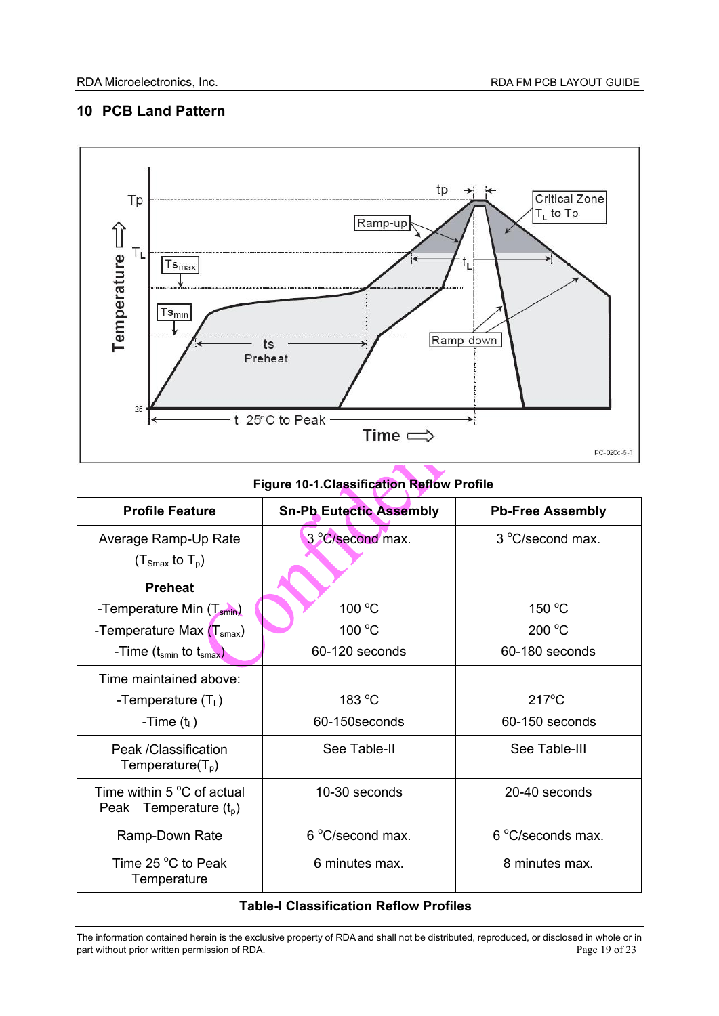## **10 PCB Land Pattern**



## **Figure 10-1.Classification Reflow Profile**

| <b>Profile Feature</b>                                          | <b>Sn-Pb Eutectic Assembly</b> | <b>Pb-Free Assembly</b> |
|-----------------------------------------------------------------|--------------------------------|-------------------------|
| Average Ramp-Up Rate<br>$(T_{\text{Smax}}$ to $T_{\text{p}})$   | 3 °C/second max.               | 3 °C/second max.        |
| <b>Preheat</b>                                                  |                                |                         |
| -Temperature Min (T <sub>smin</sub> )                           | 100 °C                         | 150 $\degree$ C         |
| -Temperature Max $(Tsmax)$                                      | 100 $\degree$ C                | 200 °C                  |
| -Time $(t_{smin}$ to $t_{smax})$                                | 60-120 seconds                 | 60-180 seconds          |
| Time maintained above:                                          |                                |                         |
| -Temperature $(T_L)$                                            | 183 $\degree$ C                | $217^{\circ}$ C         |
| -Time $(t_L)$                                                   | 60-150 seconds                 | 60-150 seconds          |
| Peak / Classification<br>Temperature $(T_p)$                    | See Table-II                   | See Table-III           |
| Time within $5^{\circ}$ C of actual<br>Peak Temperature $(t_0)$ | 10-30 seconds                  | 20-40 seconds           |
| Ramp-Down Rate                                                  | 6 °C/second max.               | 6 °C/seconds max.       |
| Time 25 $\degree$ C to Peak<br>Temperature                      | 6 minutes max.                 | 8 minutes max.          |

## **Table-I Classification Reflow Profiles**

The information contained herein is the exclusive property of RDA and shall not be distributed, reproduced, or disclosed in whole or in part without prior written permission of RDA. part without prior written permission of RDA.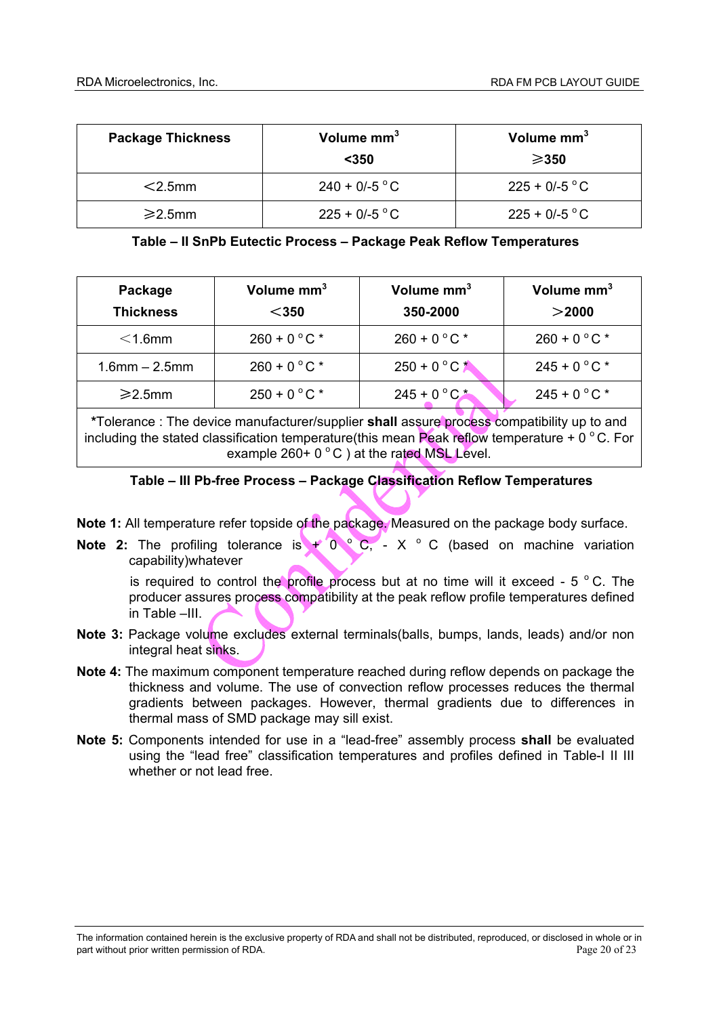| <b>Package Thickness</b> | Volume mm <sup>3</sup><br>$350$ | Volume mm <sup>3</sup><br>$\geqslant$ 350 |
|--------------------------|---------------------------------|-------------------------------------------|
| $<$ 2.5mm                | $240 + 0/-5$ °C                 | $225 + 0/-5$ °C                           |
| $\geq$ 2.5mm             | $225 + 0/-5$ °C                 | $225 + 0/-5$ °C                           |

#### **Table – II SnPb Eutectic Process – Package Peak Reflow Temperatures**

| Package<br><b>Thickness</b> | Volume mm <sup>3</sup><br>$350$ | Volume mm <sup>3</sup><br>350-2000 | Volume mm <sup>3</sup><br>$>$ 2000 |
|-----------------------------|---------------------------------|------------------------------------|------------------------------------|
| $<$ 1.6mm                   | $260 + 0 °C$ *                  | $260 + 0 °C$                       | $260 + 0 °C$ *                     |
| $1.6$ mm $- 2.5$ mm         | $260 + 0 °C$ *                  | $250 + 0 °C$                       | $245 + 0 °C$ *                     |
| $\geq$ 2.5mm                | $250 + 0 °C$ *                  | $245 + 0 °C$ *                     | $245 + 0 °C$ *                     |

**\***Tolerance : The device manufacturer/supplier **shall** assure process compatibility up to and including the stated classification temperature(this mean Peak reflow temperature +  $0^{\circ}$ C. For example  $260+0\degree C$  ) at the rated MSL Level.

## **Table – III Pb-free Process – Package Classification Reflow Temperatures**

**Note 1:** All temperature refer topside of the package. Measured on the package body surface.

**Note 2:** The profiling tolerance is  $+ 0$  C,  $- X$  C (based on machine variation capability)whatever

is required to control the profile process but at no time will it exceed  $-5$  °C. The producer assures process compatibility at the peak reflow profile temperatures defined in Table –III.

- **Note 3:** Package volume excludes external terminals(balls, bumps, lands, leads) and/or non integral heat sinks.
- **Note 4:** The maximum component temperature reached during reflow depends on package the thickness and volume. The use of convection reflow processes reduces the thermal gradients between packages. However, thermal gradients due to differences in thermal mass of SMD package may sill exist.
- **Note 5:** Components intended for use in a "lead-free" assembly process **shall** be evaluated using the "lead free" classification temperatures and profiles defined in Table-I II III whether or not lead free.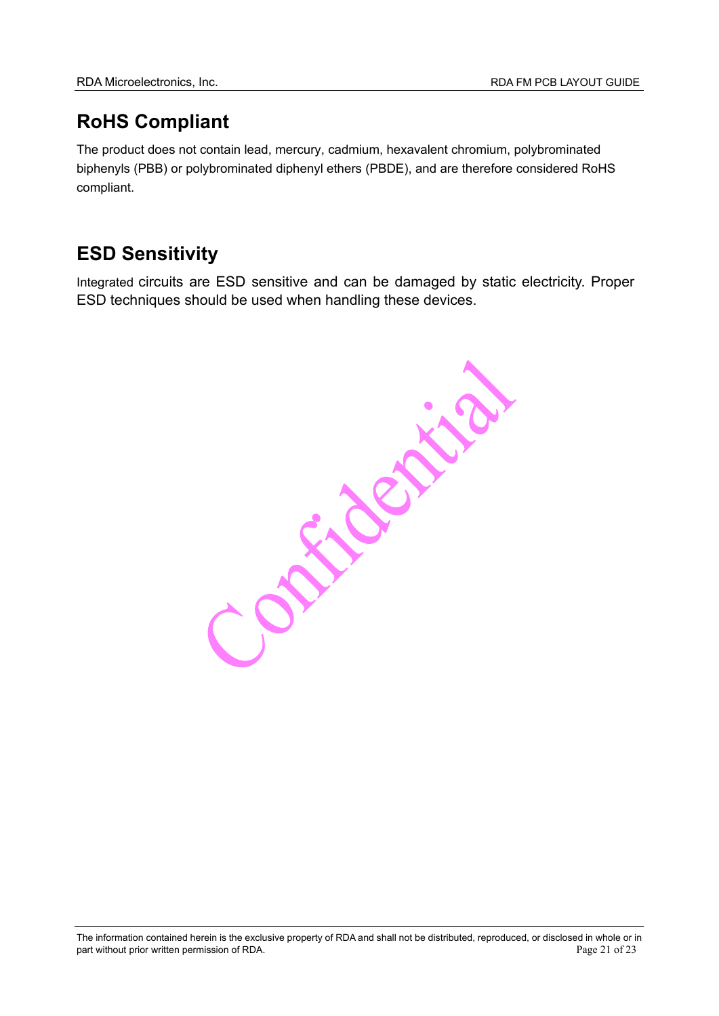# **RoHS Compliant**

The product does not contain lead, mercury, cadmium, hexavalent chromium, polybrominated biphenyls (PBB) or polybrominated diphenyl ethers (PBDE), and are therefore considered RoHS compliant.

# **ESD Sensitivity**

Integrated circuits are ESD sensitive and can be damaged by static electricity. Proper ESD techniques should be used when handling these devices.

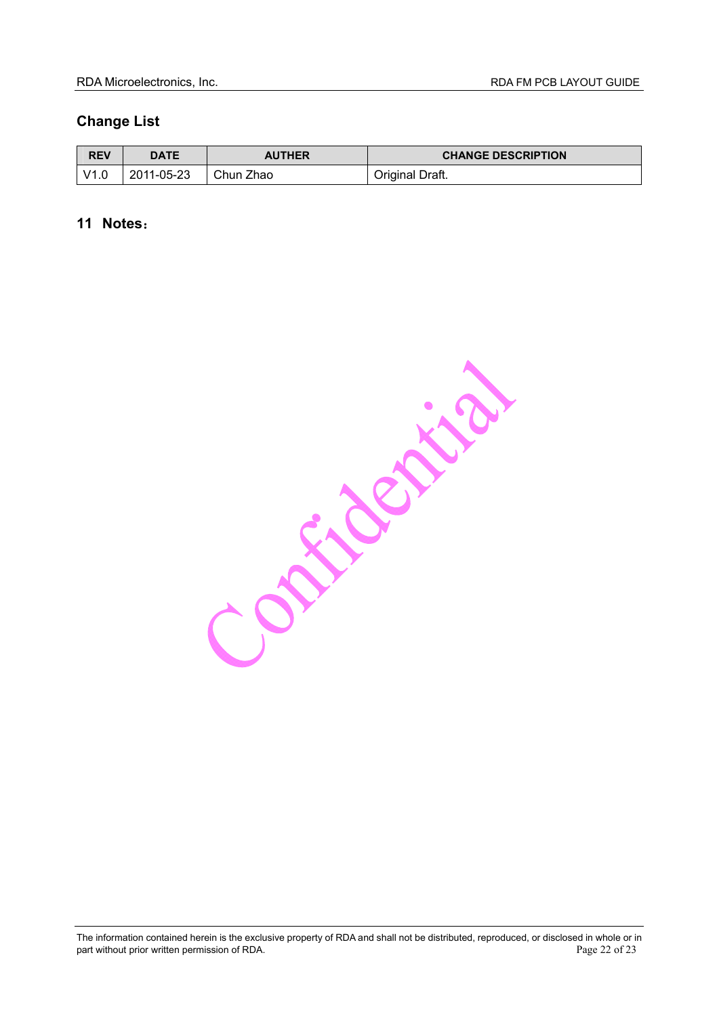## **Change List**

| <b>REV</b> | <b>DATE</b> | <b>AUTHER</b> | <b>CHANGE DESCRIPTION</b> |
|------------|-------------|---------------|---------------------------|
| V1C        | 2011-05-23  | Chun Zhao     | Original Draft.           |

## **11 Notes**:

Constallation